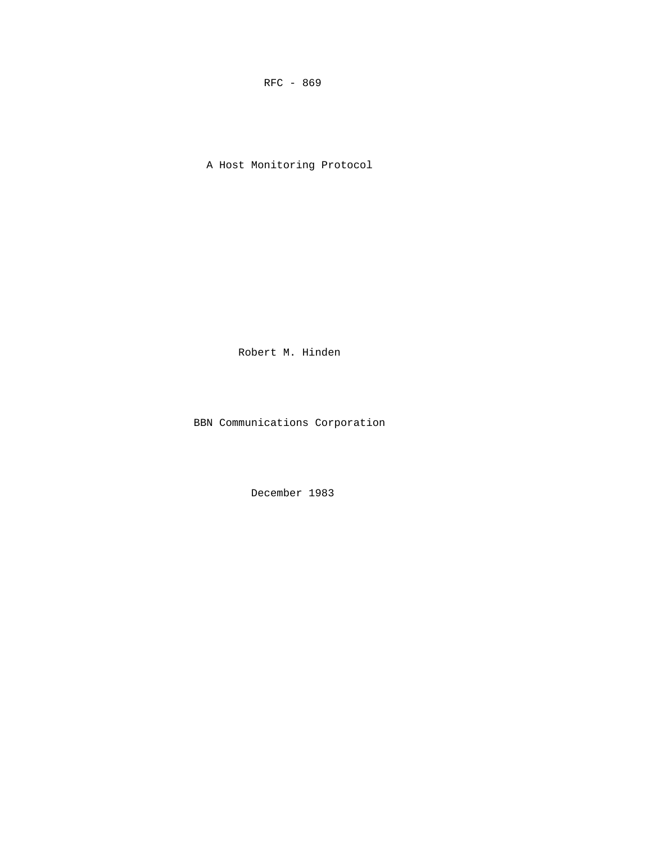RFC - 869

A Host Monitoring Protocol

Robert M. Hinden

BBN Communications Corporation

December 1983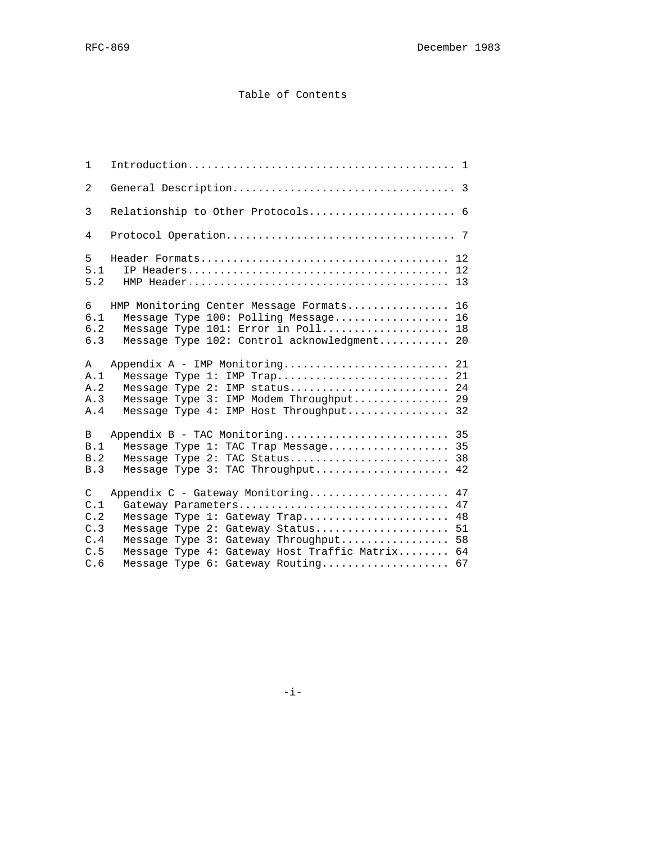# Table of Contents

| 1                                                      |                                                                                                                                                                                                                                                         |                            |
|--------------------------------------------------------|---------------------------------------------------------------------------------------------------------------------------------------------------------------------------------------------------------------------------------------------------------|----------------------------|
| 2                                                      |                                                                                                                                                                                                                                                         |                            |
| 3                                                      | Relationship to Other Protocols 6                                                                                                                                                                                                                       |                            |
| 4                                                      |                                                                                                                                                                                                                                                         |                            |
| 5<br>5.1<br>5.2                                        |                                                                                                                                                                                                                                                         | 12<br>13                   |
| 6<br>6.1<br>$6.2$<br>6.3                               | HMP Monitoring Center Message Formats<br>Message Type 100: Polling Message<br>Message Type 101: Error in Poll<br>Message Type 102: Control acknowledgment 20                                                                                            | 16<br>16<br>18             |
| A<br>A.1<br>A.2<br>A.3<br>A.4                          | Appendix A - IMP Monitoring<br>Message Type 1: IMP Trap<br>Message Type 2: IMP status<br>Message Type 3: IMP Modem Throughput 29<br>Message Type 4: IMP Host Throughput                                                                                 | 21<br>21<br>24<br>32       |
| B<br>B.1<br>B.2<br>B.3                                 | Appendix B - TAC Monitoring 35<br>Message Type 1: TAC Trap Message 35<br>Message Type 2: TAC Status<br>Message Type 3: TAC Throughput                                                                                                                   | 38<br>42                   |
| $\mathsf{C}$<br>C.1<br>C.2<br>C.3<br>C.4<br>C.5<br>C.6 | Appendix C - Gateway Monitoring<br>Gateway Parameters<br>Message Type $1:$ Gateway Trap<br>Message Type 2: Gateway Status<br>Message Type 3: Gateway Throughput<br>Message Type 4: Gateway Host Traffic Matrix 64<br>Message Type 6: Gateway Routing 67 | 47<br>47<br>48<br>51<br>58 |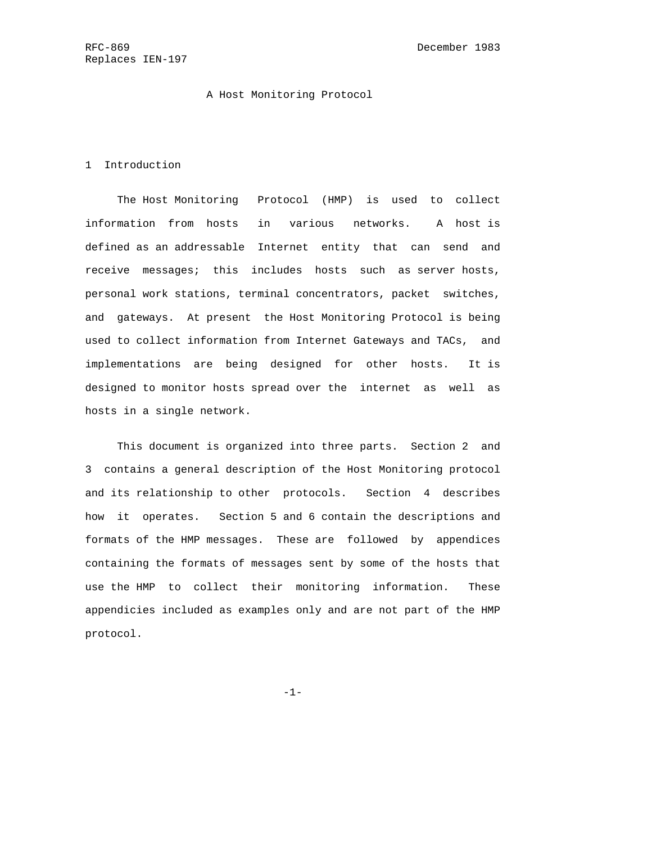### A Host Monitoring Protocol

#### 1 Introduction

 The Host Monitoring Protocol (HMP) is used to collect information from hosts in various networks. A host is defined as an addressable Internet entity that can send and receive messages; this includes hosts such as server hosts, personal work stations, terminal concentrators, packet switches, and gateways. At present the Host Monitoring Protocol is being used to collect information from Internet Gateways and TACs, and implementations are being designed for other hosts. It is designed to monitor hosts spread over the internet as well as hosts in a single network.

 This document is organized into three parts. Section 2 and 3 contains a general description of the Host Monitoring protocol and its relationship to other protocols. Section 4 describes how it operates. Section 5 and 6 contain the descriptions and formats of the HMP messages. These are followed by appendices containing the formats of messages sent by some of the hosts that use the HMP to collect their monitoring information. These appendicies included as examples only and are not part of the HMP protocol.

-1-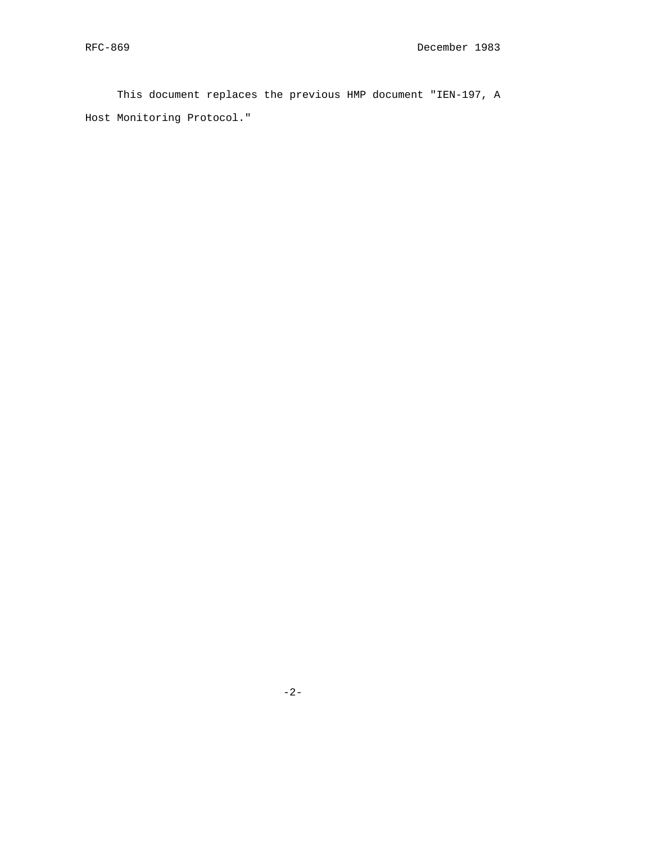This document replaces the previous HMP document "IEN-197, A Host Monitoring Protocol."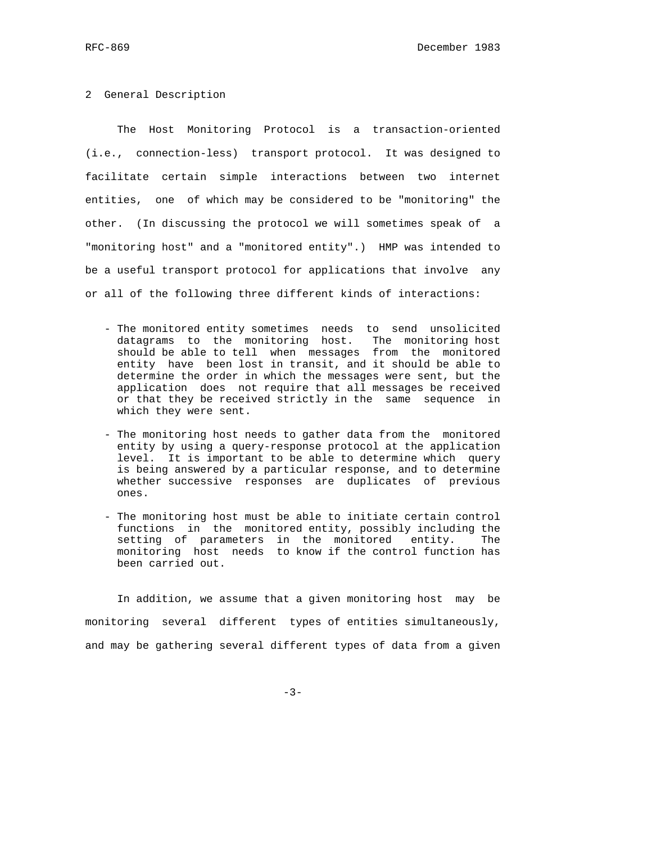#### 2 General Description

 The Host Monitoring Protocol is a transaction-oriented (i.e., connection-less) transport protocol. It was designed to facilitate certain simple interactions between two internet entities, one of which may be considered to be "monitoring" the other. (In discussing the protocol we will sometimes speak of a "monitoring host" and a "monitored entity".) HMP was intended to be a useful transport protocol for applications that involve any or all of the following three different kinds of interactions:

- The monitored entity sometimes needs to send unsolicited datagrams to the monitoring host. The monitoring host should be able to tell when messages from the monitored entity have been lost in transit, and it should be able to determine the order in which the messages were sent, but the application does not require that all messages be received or that they be received strictly in the same sequence in which they were sent.
- The monitoring host needs to gather data from the monitored entity by using a query-response protocol at the application level. It is important to be able to determine which query is being answered by a particular response, and to determine whether successive responses are duplicates of previous ones.
- The monitoring host must be able to initiate certain control functions in the monitored entity, possibly including the setting of parameters in the monitored entity. The monitoring host needs to know if the control function has been carried out.

 In addition, we assume that a given monitoring host may be monitoring several different types of entities simultaneously, and may be gathering several different types of data from a given

-3-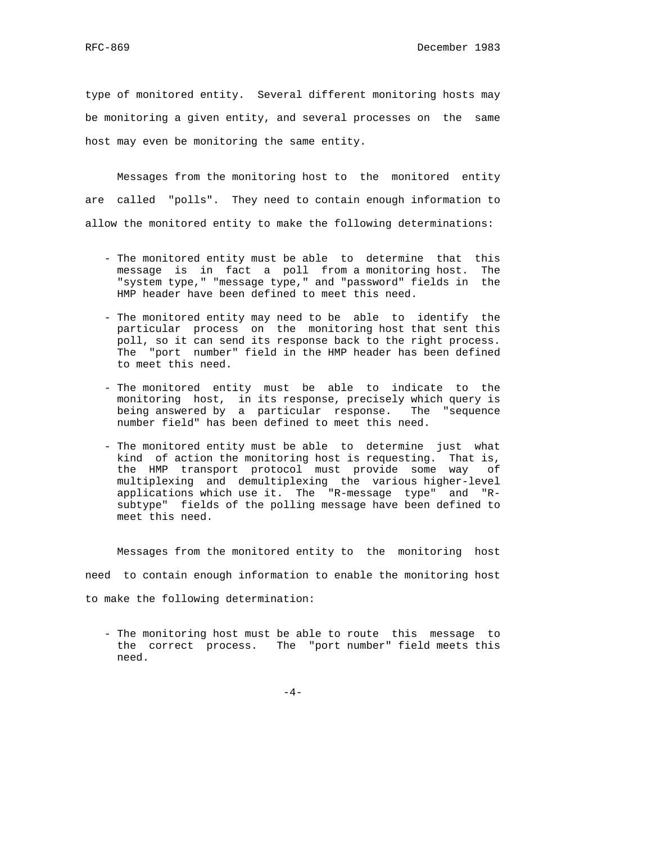type of monitored entity. Several different monitoring hosts may be monitoring a given entity, and several processes on the same host may even be monitoring the same entity.

 Messages from the monitoring host to the monitored entity are called "polls". They need to contain enough information to allow the monitored entity to make the following determinations:

- The monitored entity must be able to determine that this message is in fact a poll from a monitoring host. The "system type," "message type," and "password" fields in the HMP header have been defined to meet this need.
- The monitored entity may need to be able to identify the particular process on the monitoring host that sent this poll, so it can send its response back to the right process. The "port number" field in the HMP header has been defined to meet this need.
- The monitored entity must be able to indicate to the monitoring host, in its response, precisely which query is being answered by a particular response. The "sequence number field" has been defined to meet this need.
- The monitored entity must be able to determine just what kind of action the monitoring host is requesting. That is, the HMP transport protocol must provide some way of multiplexing and demultiplexing the various higher-level applications which use it. The "R-message type" and "R subtype" fields of the polling message have been defined to meet this need.

 Messages from the monitored entity to the monitoring host need to contain enough information to enable the monitoring host to make the following determination:

 - The monitoring host must be able to route this message to the correct process. The "port number" field meets this need.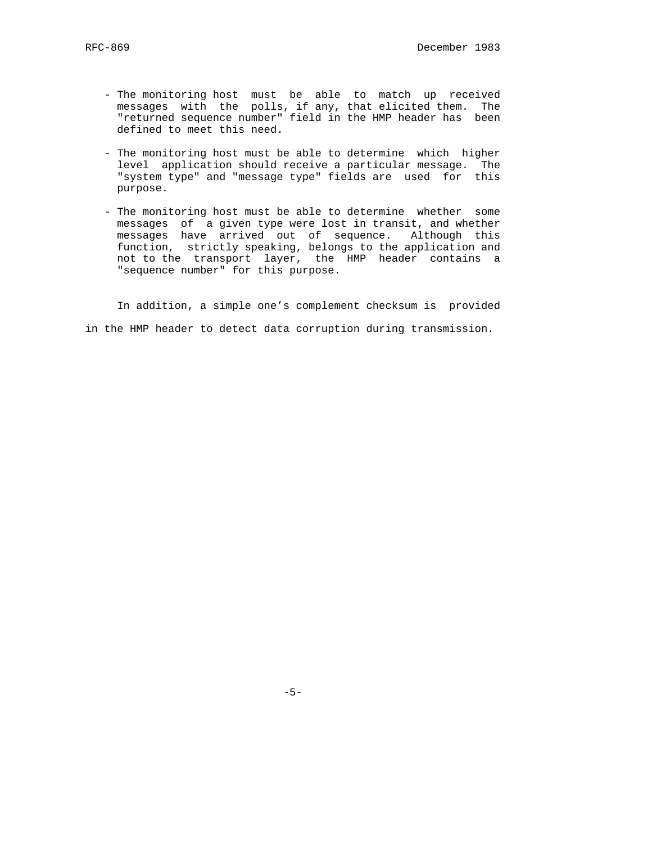- The monitoring host must be able to match up received messages with the polls, if any, that elicited them. The "returned sequence number" field in the HMP header has been defined to meet this need.
	- The monitoring host must be able to determine which higher level application should receive a particular message. The "system type" and "message type" fields are used for this purpose.
- The monitoring host must be able to determine whether some messages of a given type were lost in transit, and whether messages have arrived out of sequence. Although this function, strictly speaking, belongs to the application and not to the transport layer, the HMP header contains a "sequence number" for this purpose.

 In addition, a simple one's complement checksum is provided in the HMP header to detect data corruption during transmission.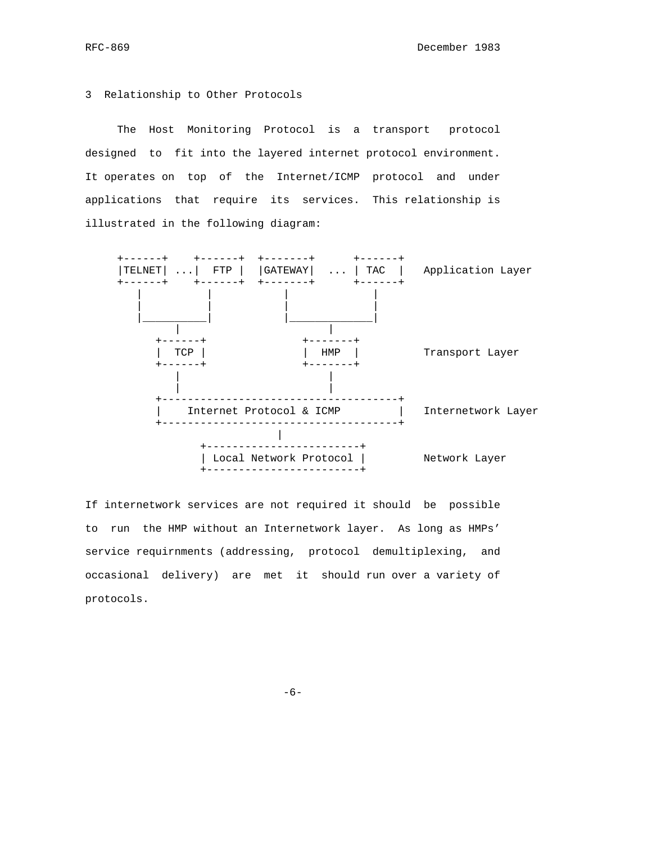#### 3 Relationship to Other Protocols

 The Host Monitoring Protocol is a transport protocol designed to fit into the layered internet protocol environment. It operates on top of the Internet/ICMP protocol and under applications that require its services. This relationship is illustrated in the following diagram:



If internetwork services are not required it should be possible to run the HMP without an Internetwork layer. As long as HMPs' service requirnments (addressing, protocol demultiplexing, and occasional delivery) are met it should run over a variety of protocols.

 $-6-$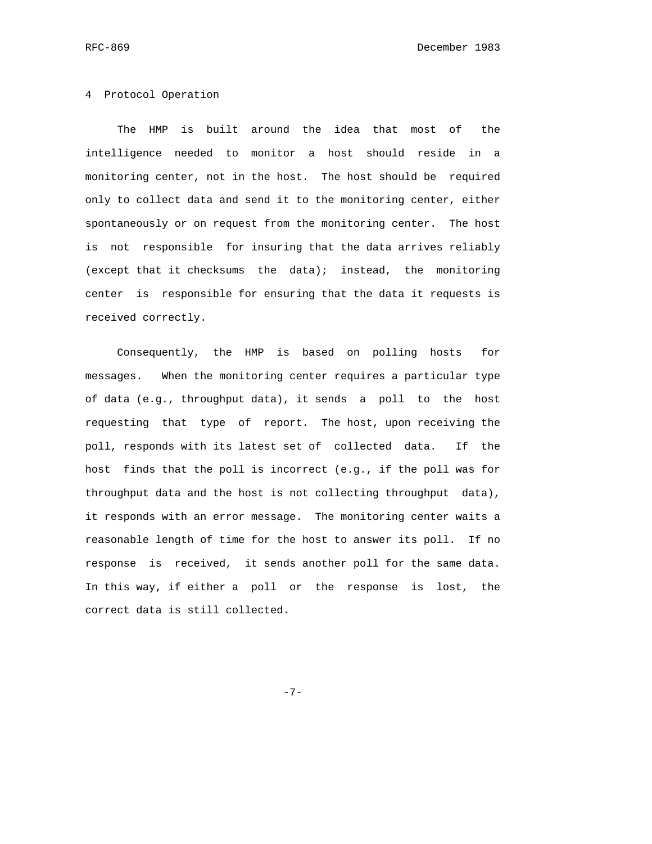### 4 Protocol Operation

 The HMP is built around the idea that most of the intelligence needed to monitor a host should reside in a monitoring center, not in the host. The host should be required only to collect data and send it to the monitoring center, either spontaneously or on request from the monitoring center. The host is not responsible for insuring that the data arrives reliably (except that it checksums the data); instead, the monitoring center is responsible for ensuring that the data it requests is received correctly.

 Consequently, the HMP is based on polling hosts for messages. When the monitoring center requires a particular type of data (e.g., throughput data), it sends a poll to the host requesting that type of report. The host, upon receiving the poll, responds with its latest set of collected data. If the host finds that the poll is incorrect (e.g., if the poll was for throughput data and the host is not collecting throughput data), it responds with an error message. The monitoring center waits a reasonable length of time for the host to answer its poll. If no response is received, it sends another poll for the same data. In this way, if either a poll or the response is lost, the correct data is still collected.

-7-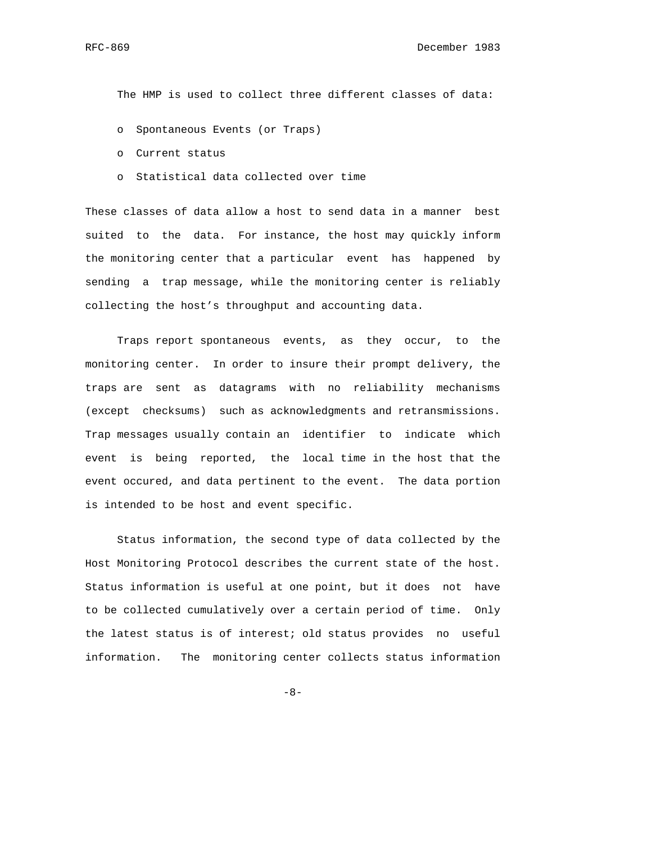The HMP is used to collect three different classes of data:

- o Spontaneous Events (or Traps)
- o Current status
- o Statistical data collected over time

These classes of data allow a host to send data in a manner best suited to the data. For instance, the host may quickly inform the monitoring center that a particular event has happened by sending a trap message, while the monitoring center is reliably collecting the host's throughput and accounting data.

 Traps report spontaneous events, as they occur, to the monitoring center. In order to insure their prompt delivery, the traps are sent as datagrams with no reliability mechanisms (except checksums) such as acknowledgments and retransmissions. Trap messages usually contain an identifier to indicate which event is being reported, the local time in the host that the event occured, and data pertinent to the event. The data portion is intended to be host and event specific.

 Status information, the second type of data collected by the Host Monitoring Protocol describes the current state of the host. Status information is useful at one point, but it does not have to be collected cumulatively over a certain period of time. Only the latest status is of interest; old status provides no useful information. The monitoring center collects status information

 $-8-$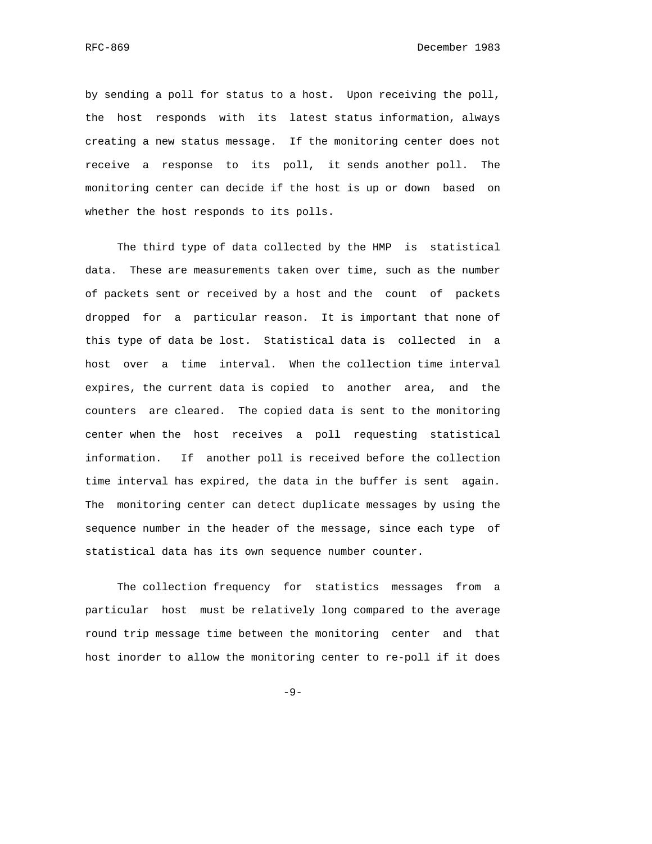by sending a poll for status to a host. Upon receiving the poll, the host responds with its latest status information, always creating a new status message. If the monitoring center does not receive a response to its poll, it sends another poll. The monitoring center can decide if the host is up or down based on whether the host responds to its polls.

 The third type of data collected by the HMP is statistical data. These are measurements taken over time, such as the number of packets sent or received by a host and the count of packets dropped for a particular reason. It is important that none of this type of data be lost. Statistical data is collected in a host over a time interval. When the collection time interval expires, the current data is copied to another area, and the counters are cleared. The copied data is sent to the monitoring center when the host receives a poll requesting statistical information. If another poll is received before the collection time interval has expired, the data in the buffer is sent again. The monitoring center can detect duplicate messages by using the sequence number in the header of the message, since each type of statistical data has its own sequence number counter.

 The collection frequency for statistics messages from a particular host must be relatively long compared to the average round trip message time between the monitoring center and that host inorder to allow the monitoring center to re-poll if it does

-9-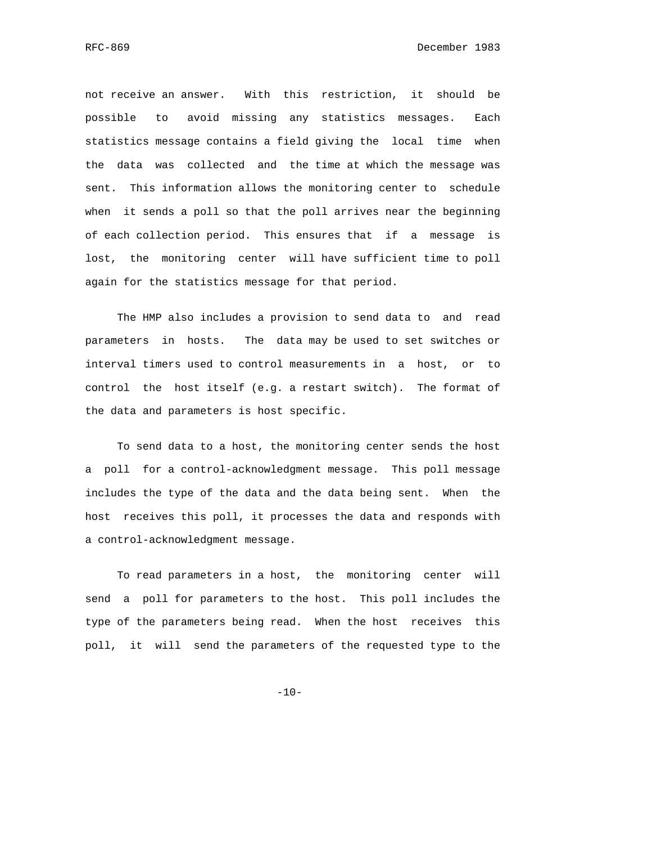not receive an answer. With this restriction, it should be possible to avoid missing any statistics messages. Each statistics message contains a field giving the local time when the data was collected and the time at which the message was sent. This information allows the monitoring center to schedule when it sends a poll so that the poll arrives near the beginning of each collection period. This ensures that if a message is lost, the monitoring center will have sufficient time to poll again for the statistics message for that period.

 The HMP also includes a provision to send data to and read parameters in hosts. The data may be used to set switches or interval timers used to control measurements in a host, or to control the host itself (e.g. a restart switch). The format of the data and parameters is host specific.

 To send data to a host, the monitoring center sends the host a poll for a control-acknowledgment message. This poll message includes the type of the data and the data being sent. When the host receives this poll, it processes the data and responds with a control-acknowledgment message.

 To read parameters in a host, the monitoring center will send a poll for parameters to the host. This poll includes the type of the parameters being read. When the host receives this poll, it will send the parameters of the requested type to the

 $-10-$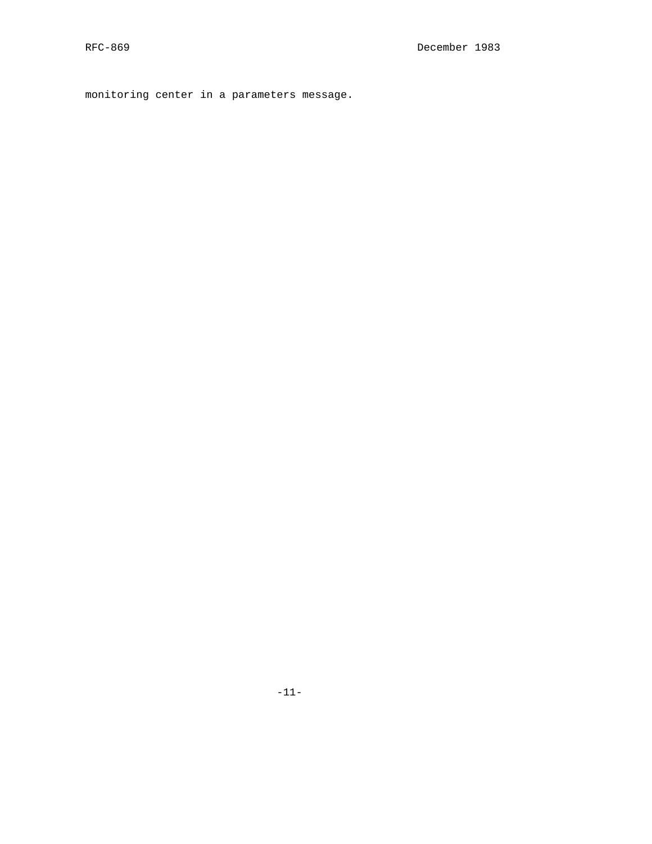monitoring center in a parameters message.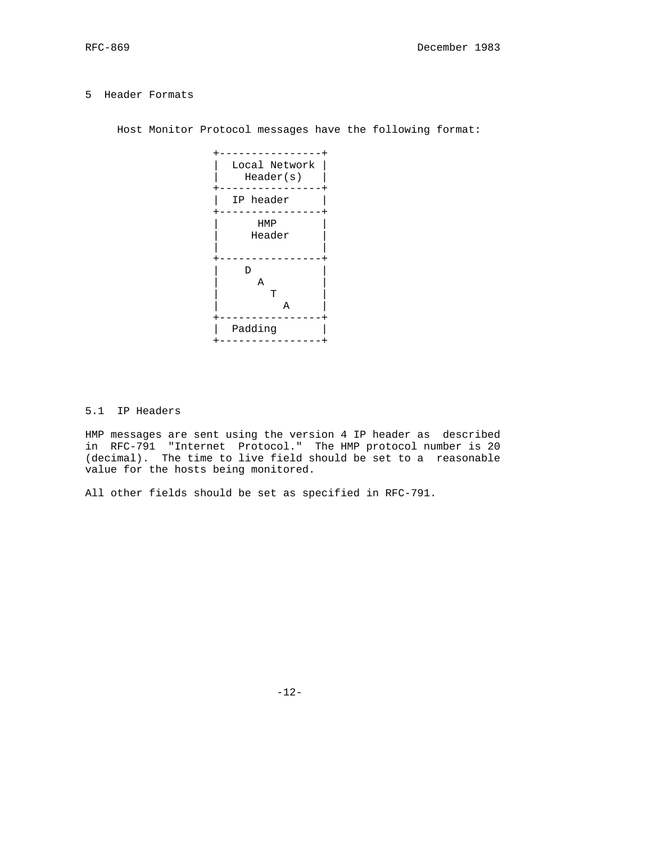### 5 Header Formats

Host Monitor Protocol messages have the following format:



# 5.1 IP Headers

HMP messages are sent using the version 4 IP header as described in RFC-791 "Internet Protocol." The HMP protocol number is 20 (decimal). The time to live field should be set to a reasonable value for the hosts being monitored.

All other fields should be set as specified in RFC-791.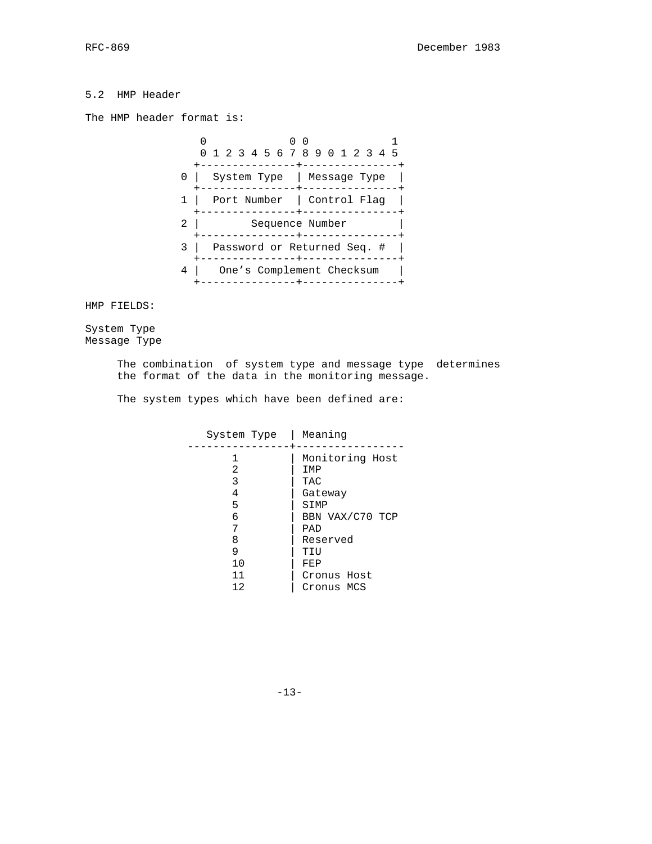# 5.2 HMP Header

The HMP header format is:



HMP FIELDS:

System Type Message Type

> The combination of system type and message type determines the format of the data in the monitoring message.

The system types which have been defined are:

| System Type | Meaning         |
|-------------|-----------------|
|             | Monitoring Host |
| 2           | IMP             |
| 3           | TAC             |
| 4           | Gateway         |
| 5           | SIMP            |
| 6           | BBN VAX/C70 TCP |
| 7           | PAD             |
| 8           | Reserved        |
| 9           | TIU             |
| 10          | FEP             |
| 11          | Cronus Host     |
| 12          | Cronus MCS      |

-13-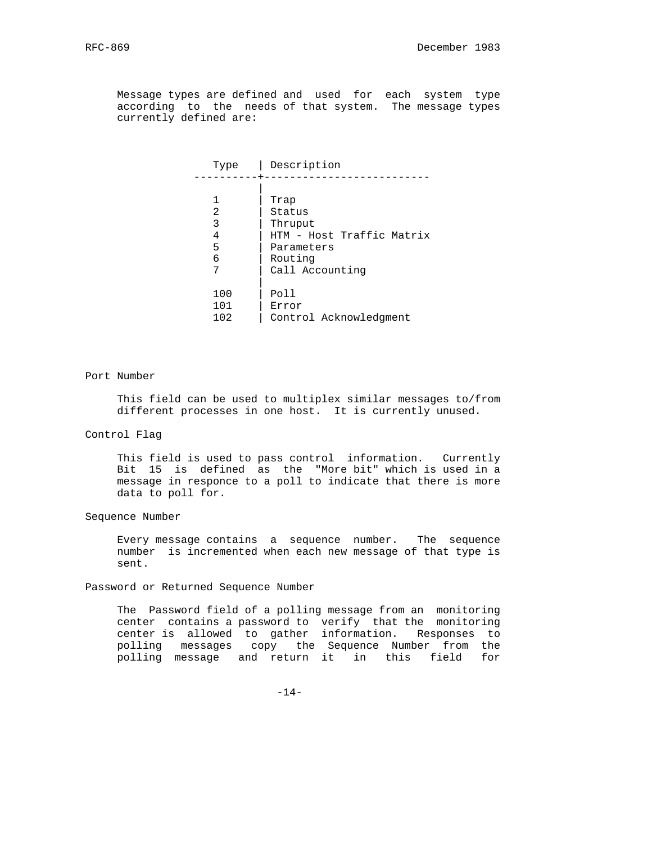Message types are defined and used for each system type according to the needs of that system. The message types currently defined are:

| Type | Description               |
|------|---------------------------|
|      |                           |
|      | Trap                      |
| 2    | Status                    |
| 3    | Thruput                   |
| 4    | HTM - Host Traffic Matrix |
| 5    | Parameters                |
| 6    | Routing                   |
| 7    | Call Accounting           |
|      |                           |
| 100  | Poll                      |
| 101  | Error                     |
| 102  | Control Acknowledgment    |

#### Port Number

 This field can be used to multiplex similar messages to/from different processes in one host. It is currently unused.

### Control Flag

 This field is used to pass control information. Currently Bit 15 is defined as the "More bit" which is used in a message in responce to a poll to indicate that there is more data to poll for.

### Sequence Number

 Every message contains a sequence number. The sequence number is incremented when each new message of that type is sent.

Password or Returned Sequence Number

 The Password field of a polling message from an monitoring center contains a password to verify that the monitoring center is allowed to gather information. Responses to polling messages copy the Sequence Number from the polling message and return it in this field for

-14-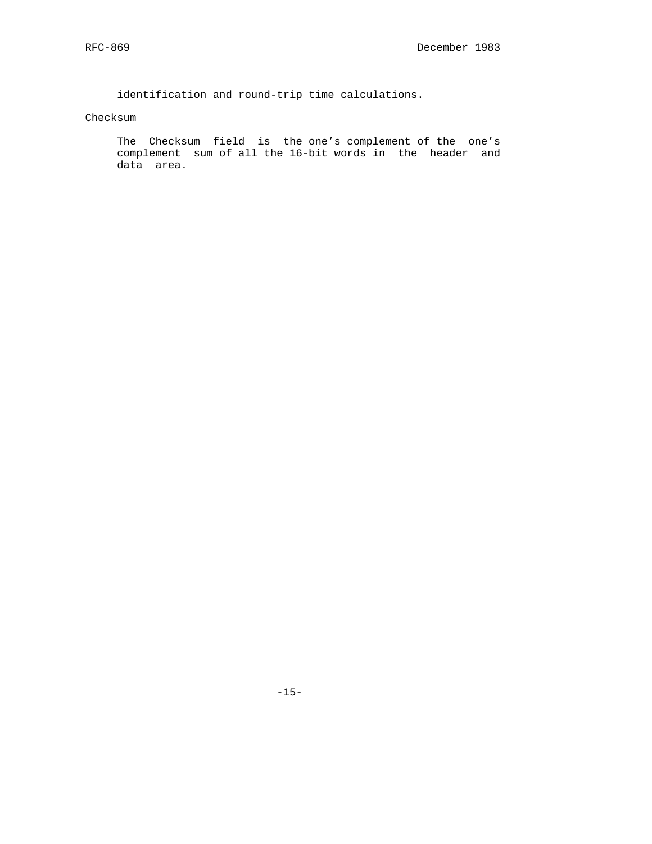identification and round-trip time calculations.

### Checksum

 The Checksum field is the one's complement of the one's complement sum of all the 16-bit words in the header and data area.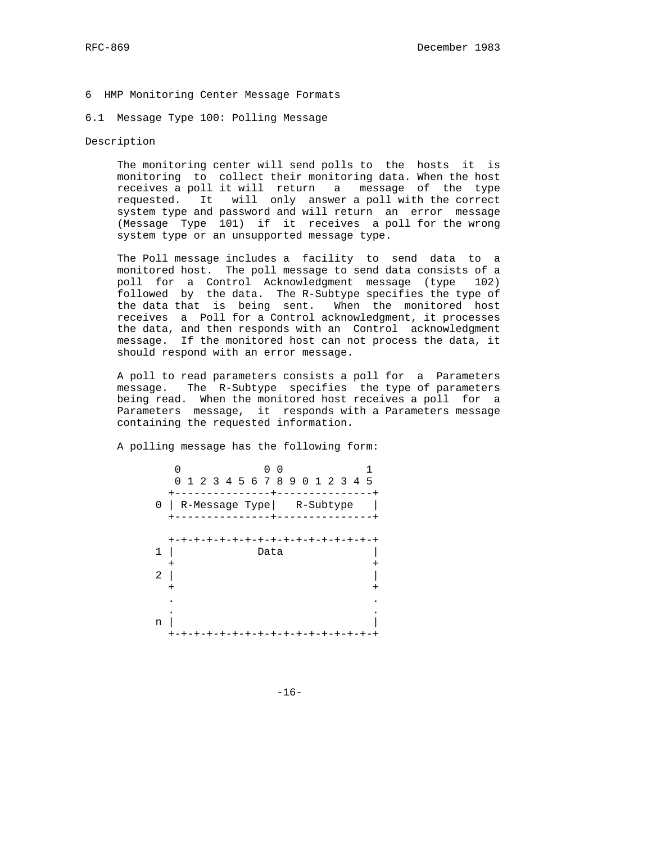6 HMP Monitoring Center Message Formats

### 6.1 Message Type 100: Polling Message

### Description

 The monitoring center will send polls to the hosts it is monitoring to collect their monitoring data. When the host receives a poll it will return a message of the type requested. It will only answer a poll with the correct system type and password and will return an error message (Message Type 101) if it receives a poll for the wrong system type or an unsupported message type.

 The Poll message includes a facility to send data to a monitored host. The poll message to send data consists of a poll for a Control Acknowledgment message (type 102) followed by the data. The R-Subtype specifies the type of the data that is being sent. When the monitored host receives a Poll for a Control acknowledgment, it processes the data, and then responds with an Control acknowledgment message. If the monitored host can not process the data, it should respond with an error message.

 A poll to read parameters consists a poll for a Parameters message. The R-Subtype specifies the type of parameters being read. When the monitored host receives a poll for a Parameters message, it responds with a Parameters message containing the requested information.

A polling message has the following form:

|        |                           | 1 2 3 4 5 6 7 8 9 0 1 2 3 4 5 |
|--------|---------------------------|-------------------------------|
| 0      | R-Message Type  R-Subtype |                               |
| 1<br>2 | Data                      |                               |
| n      | ナーナーナーナーナ<br>-+<br>$-+$   | -+-+-+-+-+-+-+-+-+            |

-16-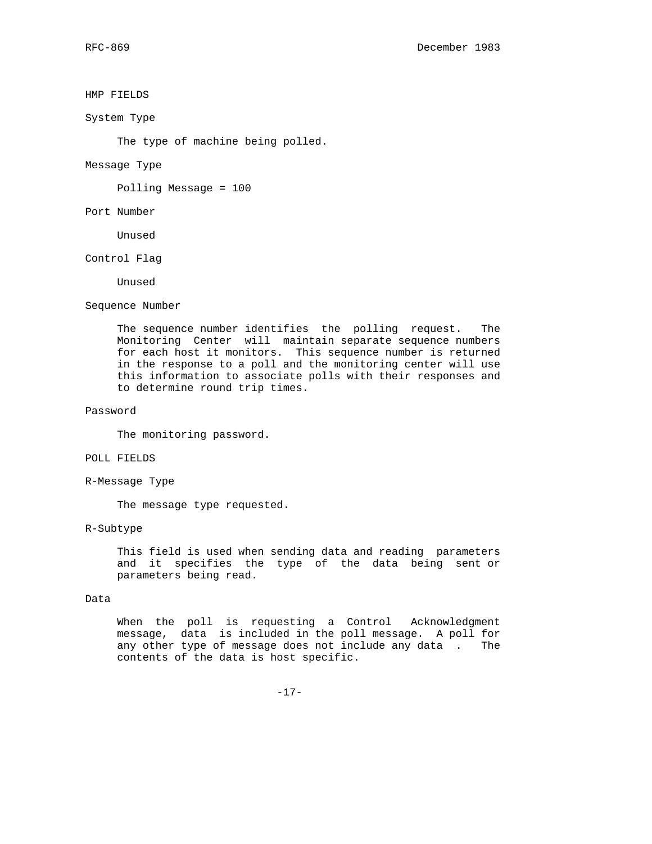### HMP FIELDS

System Type

The type of machine being polled.

Message Type

Polling Message = 100

Port Number

Unused

Control Flag

Unused

Sequence Number

 The sequence number identifies the polling request. The Monitoring Center will maintain separate sequence numbers for each host it monitors. This sequence number is returned in the response to a poll and the monitoring center will use this information to associate polls with their responses and to determine round trip times.

# Password

The monitoring password.

### POLL FIELDS

R-Message Type

The message type requested.

#### R-Subtype

 This field is used when sending data and reading parameters and it specifies the type of the data being sent or parameters being read.

#### Data

 When the poll is requesting a Control Acknowledgment message, data is included in the poll message. A poll for any other type of message does not include any data . The contents of the data is host specific.

-17-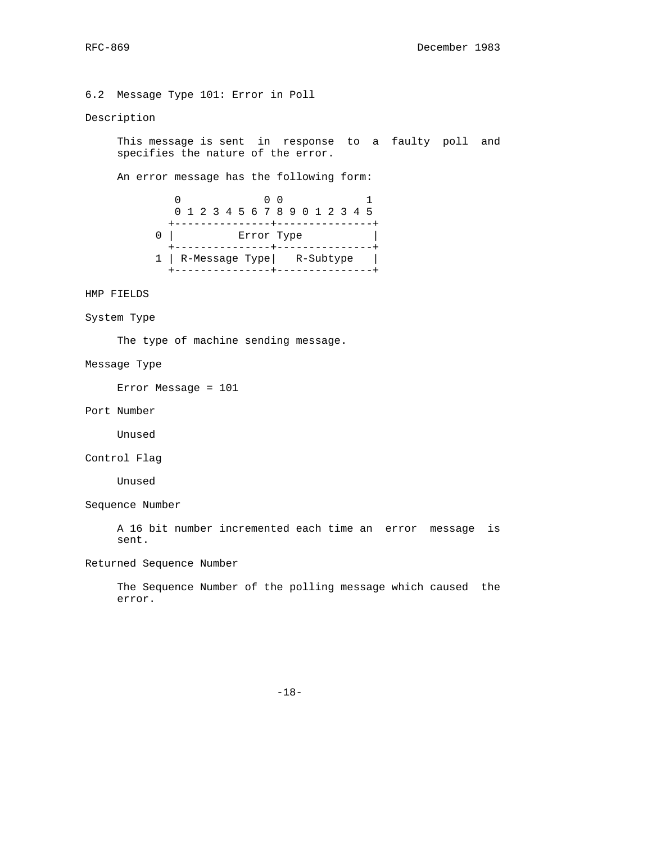6.2 Message Type 101: Error in Poll

### Description

 This message is sent in response to a faulty poll and specifies the nature of the error.

An error message has the following form:

| 0 1 2 3 4 5 6 7 8 9 0 1 2 3 4 5 |  |            |  |  |  |  |  |
|---------------------------------|--|------------|--|--|--|--|--|
|                                 |  |            |  |  |  |  |  |
|                                 |  | Error Type |  |  |  |  |  |
|                                 |  |            |  |  |  |  |  |
| 1   R-Message Type   R-Subtype  |  |            |  |  |  |  |  |
|                                 |  |            |  |  |  |  |  |

HMP FIELDS

System Type

The type of machine sending message.

### Message Type

Error Message = 101

Port Number

Unused

Control Flag

Unused

Sequence Number

 A 16 bit number incremented each time an error message is sent.

Returned Sequence Number

 The Sequence Number of the polling message which caused the error.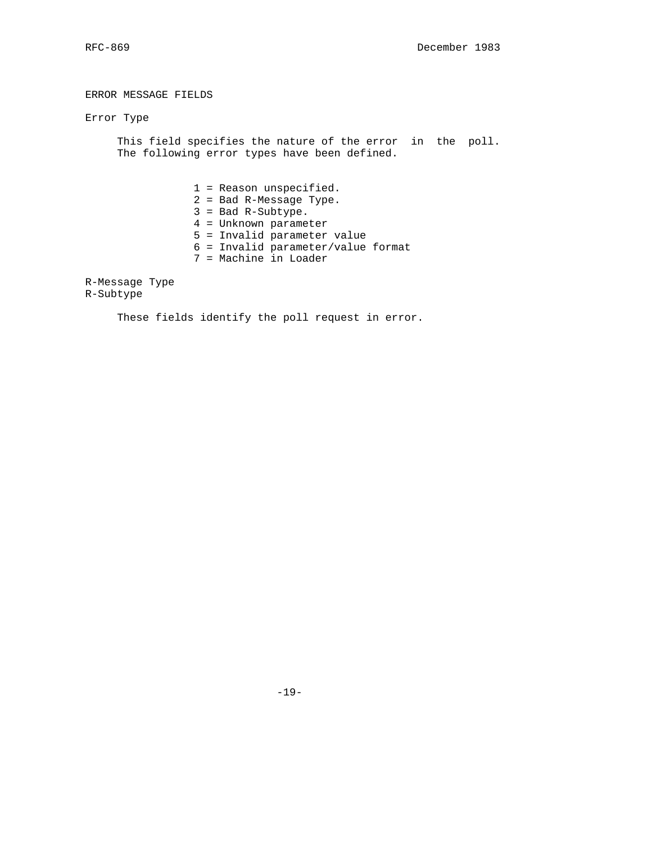ERROR MESSAGE FIELDS

Error Type

 This field specifies the nature of the error in the poll. The following error types have been defined.

- 1 = Reason unspecified.
- 2 = Bad R-Message Type.
- 3 = Bad R-Subtype.
- 4 = Unknown parameter
- 5 = Invalid parameter value
- 6 = Invalid parameter/value format
- 7 = Machine in Loader

R-Message Type R-Subtype

These fields identify the poll request in error.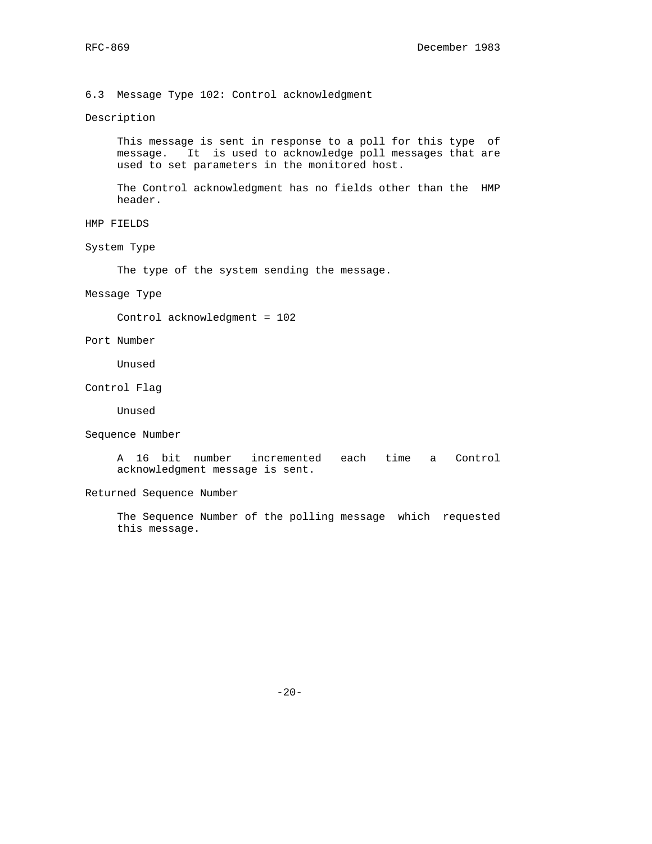6.3 Message Type 102: Control acknowledgment

### Description

 This message is sent in response to a poll for this type of message. It is used to acknowledge poll messages that are used to set parameters in the monitored host.

 The Control acknowledgment has no fields other than the HMP header.

- HMP FIELDS
- System Type

The type of the system sending the message.

## Message Type

Control acknowledgment = 102

Port Number

Unused

Control Flag

Unused

Sequence Number

 A 16 bit number incremented each time a Control acknowledgment message is sent.

Returned Sequence Number

 The Sequence Number of the polling message which requested this message.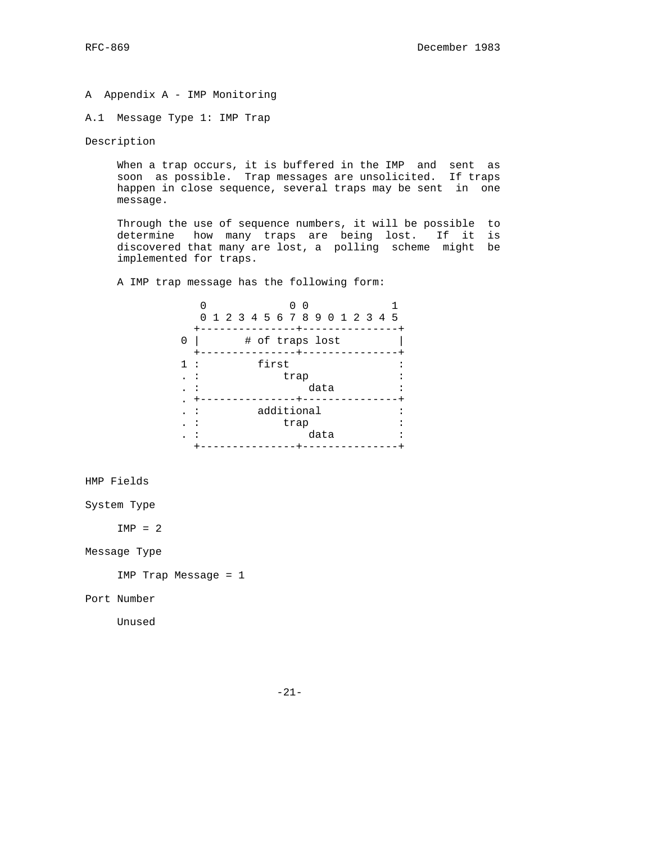A Appendix A - IMP Monitoring

A.1 Message Type 1: IMP Trap

Description

 When a trap occurs, it is buffered in the IMP and sent as soon as possible. Trap messages are unsolicited. If traps happen in close sequence, several traps may be sent in one message.

 Through the use of sequence numbers, it will be possible to determine how many traps are being lost. If it is discovered that many are lost, a polling scheme might be implemented for traps.

A IMP trap message has the following form:

| 0 1 2 3 4 5 6 7 8 9 0 1 2 3 4 5 |
|---------------------------------|
|                                 |
|                                 |
|                                 |
|                                 |
|                                 |
|                                 |
|                                 |

HMP Fields

System Type

 $IMP = 2$ 

Message Type

IMP Trap Message = 1

Port Number

Unused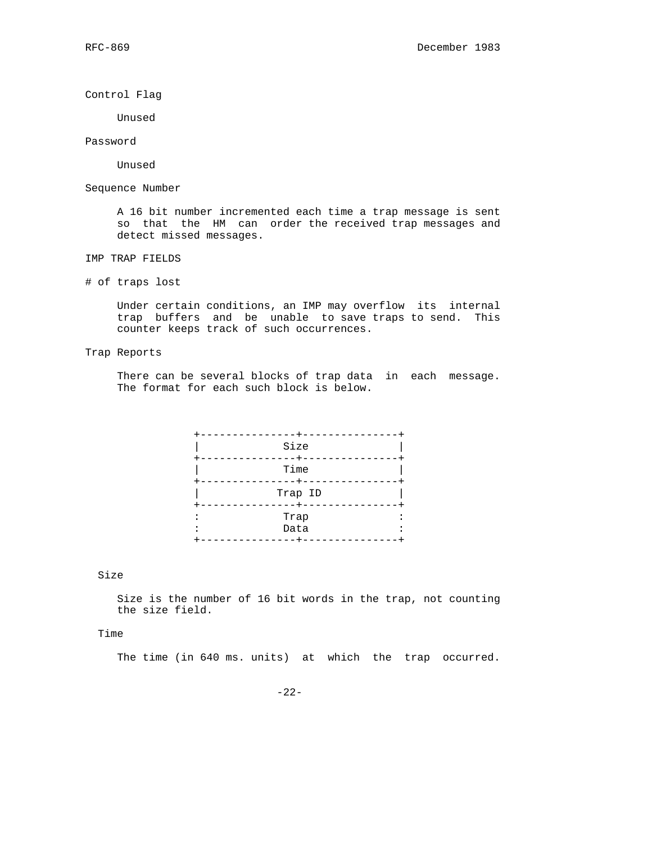Control Flag

Unused

Password

Unused

Sequence Number

 A 16 bit number incremented each time a trap message is sent so that the HM can order the received trap messages and detect missed messages.

IMP TRAP FIELDS

# of traps lost

 Under certain conditions, an IMP may overflow its internal trap buffers and be unable to save traps to send. This counter keeps track of such occurrences.

Trap Reports

 There can be several blocks of trap data in each message. The format for each such block is below.

| Size                      |
|---------------------------|
| Time                      |
| Trap ID                   |
| Trap<br>Data<br>$\bullet$ |
|                           |

Size

 Size is the number of 16 bit words in the trap, not counting the size field.

Time

The time (in 640 ms. units) at which the trap occurred.

-22-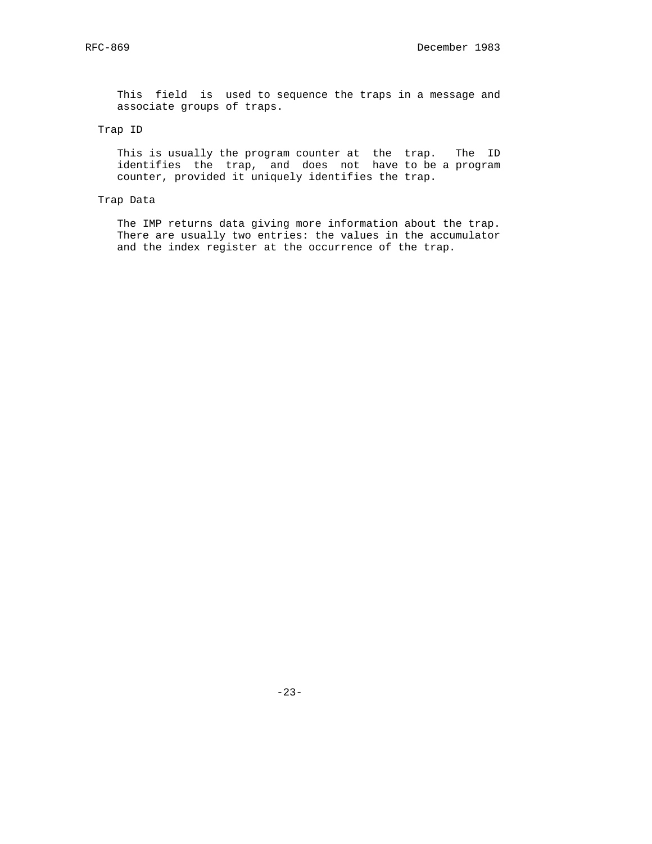This field is used to sequence the traps in a message and associate groups of traps.

# Trap ID

 This is usually the program counter at the trap. The ID identifies the trap, and does not have to be a program counter, provided it uniquely identifies the trap.

# Trap Data

 The IMP returns data giving more information about the trap. There are usually two entries: the values in the accumulator and the index register at the occurrence of the trap.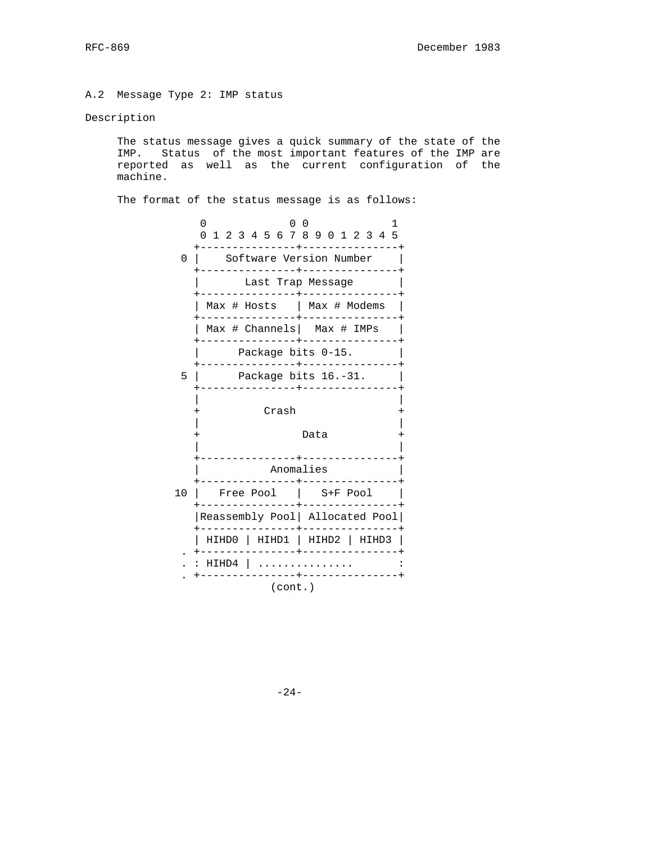A.2 Message Type 2: IMP status

### Description

 The status message gives a quick summary of the state of the IMP. Status of the most important features of the IMP are reported as well as the current configuration of the machine.

The format of the status message is as follows:

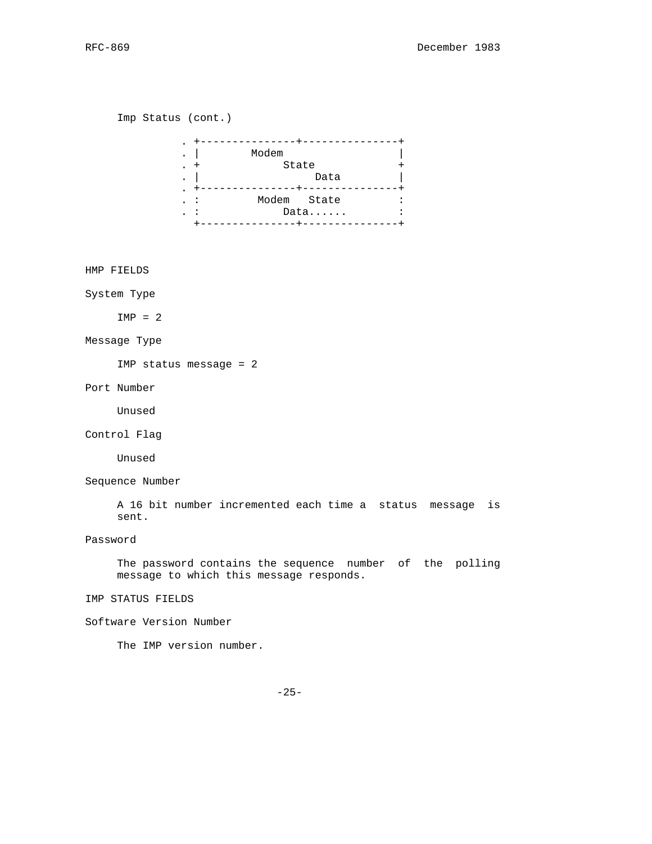Imp Status (cont.)

| $\bullet$                             |                  |  |
|---------------------------------------|------------------|--|
| $\bullet$                             | Modem            |  |
| $\bullet$                             | State            |  |
| $\bullet$                             | Data             |  |
| $\bullet$<br>$\overline{\phantom{a}}$ | Modem State<br>: |  |
| $\overline{\phantom{a}}$              | Data             |  |
|                                       |                  |  |

HMP FIELDS

System Type

 $IMP = 2$ 

Message Type

IMP status message = 2

Port Number

Unused

Control Flag

Unused

Sequence Number

 A 16 bit number incremented each time a status message is sent.

Password

 The password contains the sequence number of the polling message to which this message responds.

IMP STATUS FIELDS

Software Version Number

The IMP version number.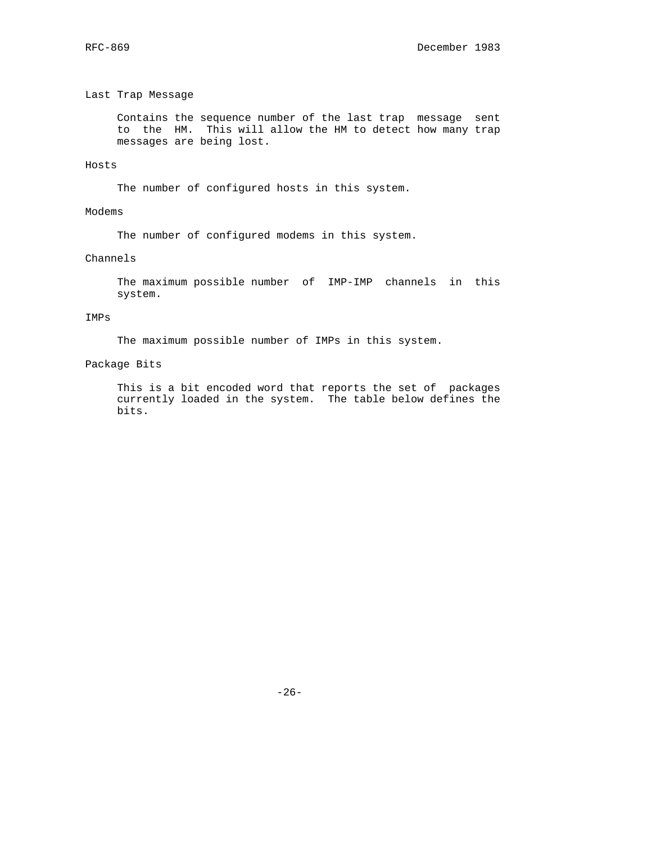### Last Trap Message

 Contains the sequence number of the last trap message sent to the HM. This will allow the HM to detect how many trap messages are being lost.

### Hosts

The number of configured hosts in this system.

# Modems

The number of configured modems in this system.

## Channels

 The maximum possible number of IMP-IMP channels in this system.

### IMPs

The maximum possible number of IMPs in this system.

# Package Bits

 This is a bit encoded word that reports the set of packages currently loaded in the system. The table below defines the bits.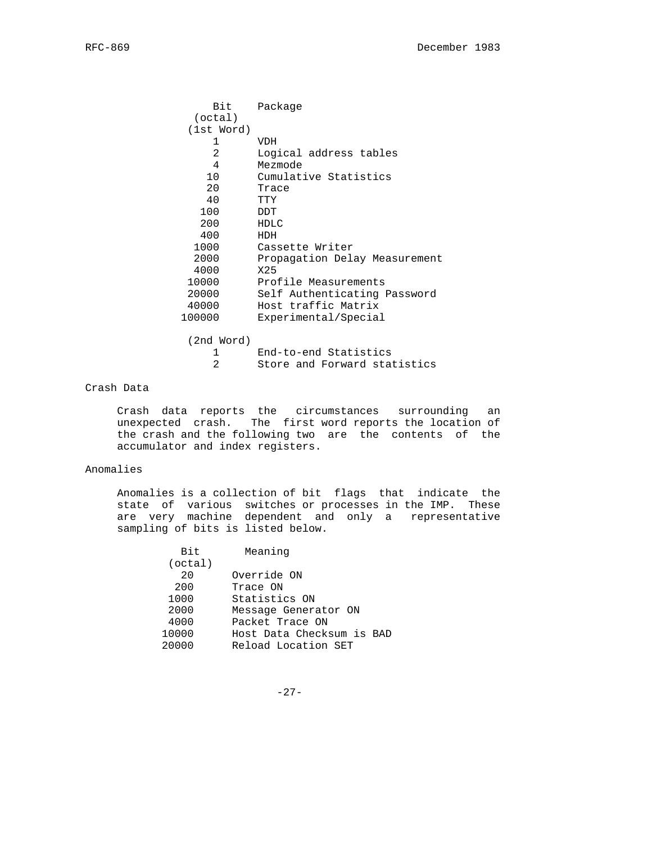| Bit            | Package                       |
|----------------|-------------------------------|
| (octal)        |                               |
| (lst Word)     |                               |
| 1              | VDH                           |
| $\overline{2}$ | Logical address tables        |
| 4              | Mezmode                       |
| 10             | Cumulative Statistics         |
| 20             | Trace                         |
| 40             | TTY                           |
| 100            | DDT                           |
| 200            | HDLC                          |
| 400            | HDH                           |
| 1000           | Cassette Writer               |
| 2000           | Propagation Delay Measurement |
| 4000           | X25                           |
| 10000          | Profile Measurements          |
| 20000          | Self Authenticating Password  |
| 40000          | Host traffic Matrix           |
| 100000         | Experimental/Special          |
|                |                               |

(2nd Word)

| End-to-end Statistics        |
|------------------------------|
| Store and Forward statistics |

## Crash Data

 Crash data reports the circumstances surrounding an unexpected crash. The first word reports the location of the crash and the following two are the contents of the accumulator and index registers.

## Anomalies

 Anomalies is a collection of bit flags that indicate the state of various switches or processes in the IMP. These are very machine dependent and only a representative sampling of bits is listed below.

| <b>Bit</b> | Meaning                   |
|------------|---------------------------|
| (octal)    |                           |
| 20         | Override ON               |
| 200        | Trace ON                  |
| 1000       | Statistics ON             |
| 2000       | Message Generator ON      |
| 4000       | Packet Trace ON           |
| 10000      | Host Data Checksum is BAD |
| 20000      | Reload Location SET       |

-27-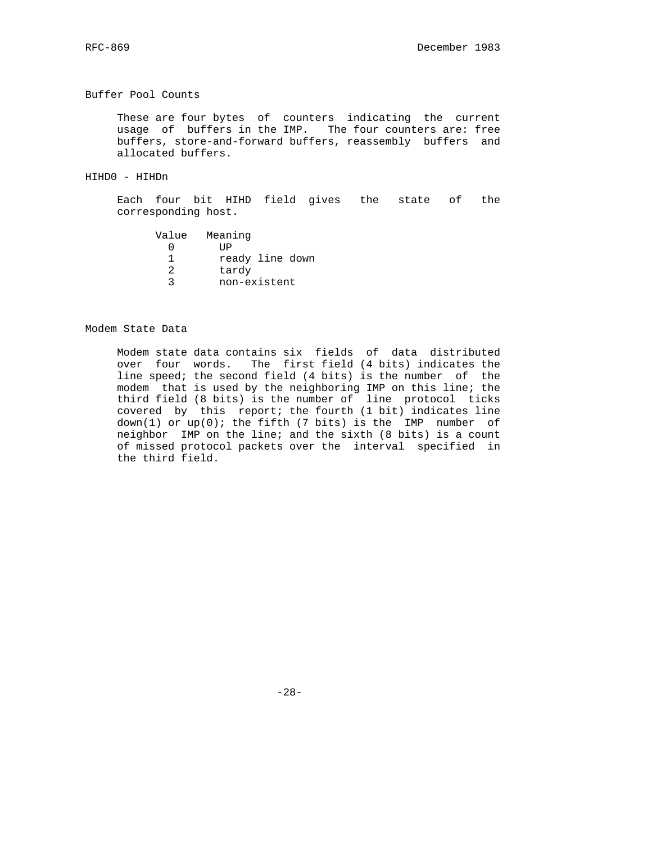#### Buffer Pool Counts

 These are four bytes of counters indicating the current usage of buffers in the IMP. The four counters are: free buffers, store-and-forward buffers, reassembly buffers and allocated buffers.

HIHD0 - HIHDn

 Each four bit HIHD field gives the state of the corresponding host.

| Value | Meaning         |
|-------|-----------------|
|       | ΠP              |
|       | ready line down |
|       | tardy           |
|       | non-existent    |
|       |                 |

### Modem State Data

 Modem state data contains six fields of data distributed over four words. The first field (4 bits) indicates the line speed; the second field (4 bits) is the number of the modem that is used by the neighboring IMP on this line; the third field (8 bits) is the number of line protocol ticks covered by this report; the fourth (1 bit) indicates line down(1) or  $up(0)$ ; the fifth (7 bits) is the IMP number of neighbor IMP on the line; and the sixth (8 bits) is a count of missed protocol packets over the interval specified in the third field.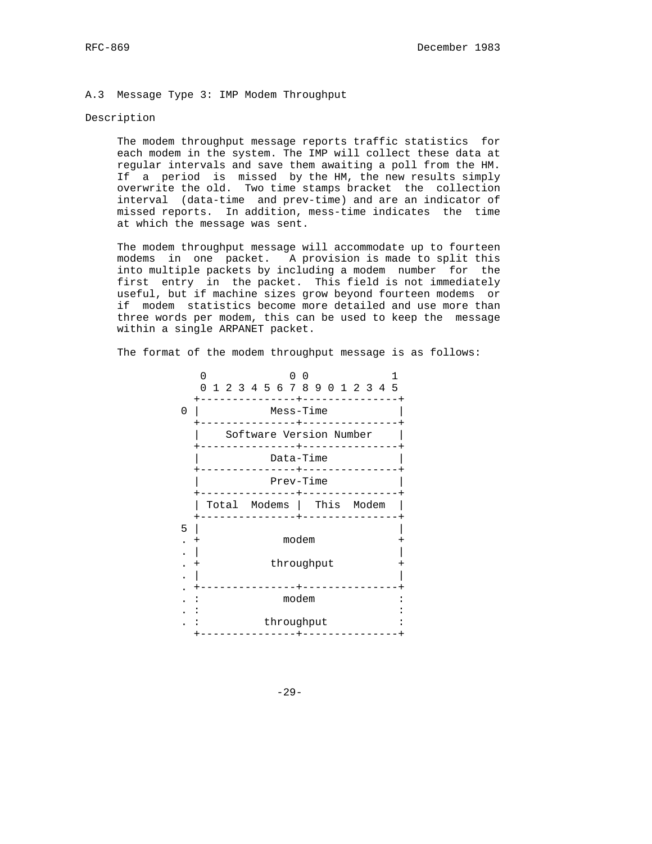#### A.3 Message Type 3: IMP Modem Throughput

### Description

 The modem throughput message reports traffic statistics for each modem in the system. The IMP will collect these data at regular intervals and save them awaiting a poll from the HM. If a period is missed by the HM, the new results simply overwrite the old. Two time stamps bracket the collection interval (data-time and prev-time) and are an indicator of missed reports. In addition, mess-time indicates the time at which the message was sent.

 The modem throughput message will accommodate up to fourteen modems in one packet. A provision is made to split this into multiple packets by including a modem number for the first entry in the packet. This field is not immediately useful, but if machine sizes grow beyond fourteen modems or if modem statistics become more detailed and use more than three words per modem, this can be used to keep the message within a single ARPANET packet.

The format of the modem throughput message is as follows:

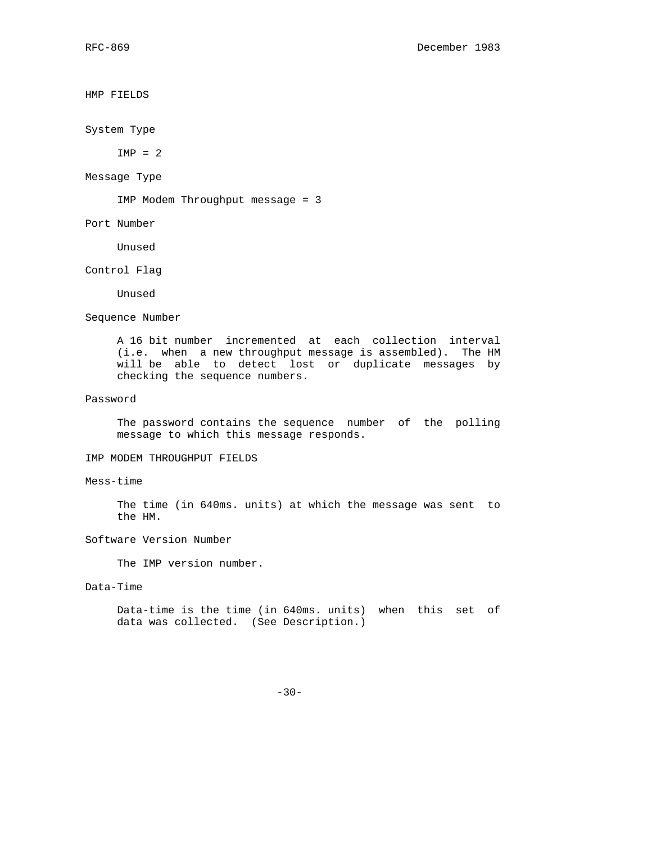HMP FIELDS

System Type

 $IMP = 2$ 

Message Type

IMP Modem Throughput message = 3

Port Number

Unused

Control Flag

Unused

Sequence Number

 A 16 bit number incremented at each collection interval (i.e. when a new throughput message is assembled). The HM will be able to detect lost or duplicate messages by checking the sequence numbers.

### Password

 The password contains the sequence number of the polling message to which this message responds.

### IMP MODEM THROUGHPUT FIELDS

## Mess-time

 The time (in 640ms. units) at which the message was sent to the HM.

### Software Version Number

The IMP version number.

### Data-Time

 Data-time is the time (in 640ms. units) when this set of data was collected. (See Description.)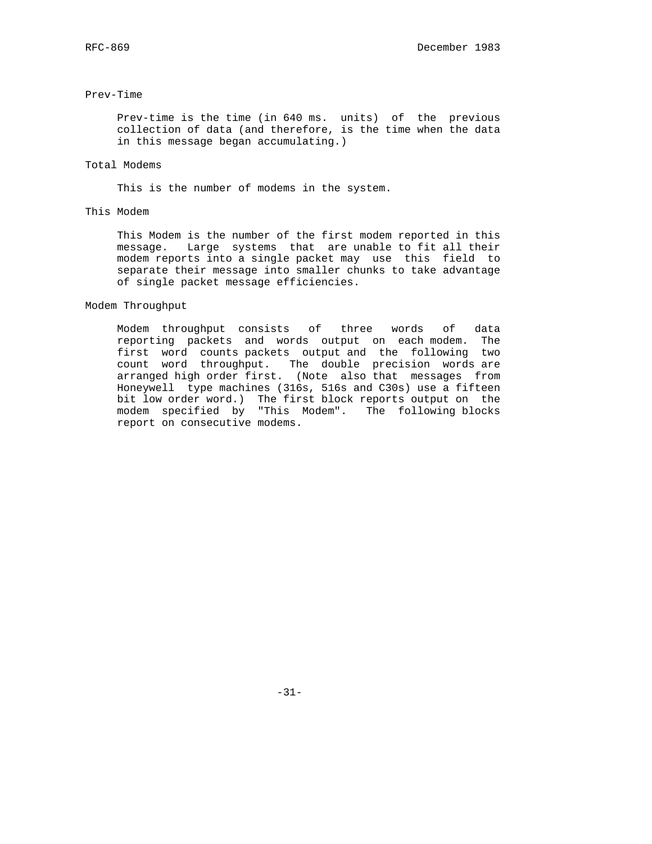#### Prev-Time

 Prev-time is the time (in 640 ms. units) of the previous collection of data (and therefore, is the time when the data in this message began accumulating.)

### Total Modems

This is the number of modems in the system.

# This Modem

 This Modem is the number of the first modem reported in this message. Large systems that are unable to fit all their modem reports into a single packet may use this field to separate their message into smaller chunks to take advantage of single packet message efficiencies.

#### Modem Throughput

 Modem throughput consists of three words of data reporting packets and words output on each modem. The first word counts packets output and the following two count word throughput. The double precision words are arranged high order first. (Note also that messages from Honeywell type machines (316s, 516s and C30s) use a fifteen bit low order word.) The first block reports output on the modem specified by "This Modem". The following blocks report on consecutive modems.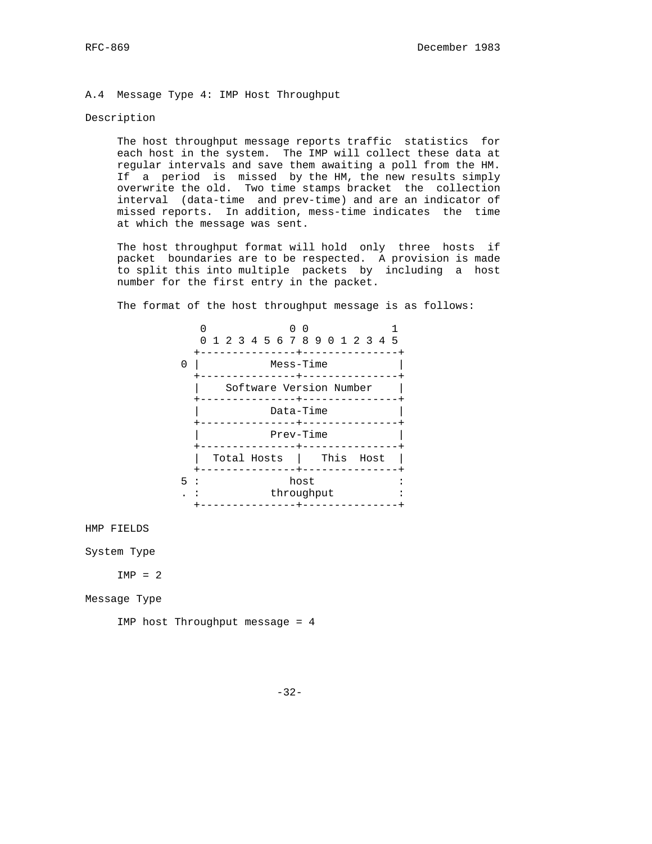#### A.4 Message Type 4: IMP Host Throughput

### Description

 The host throughput message reports traffic statistics for each host in the system. The IMP will collect these data at regular intervals and save them awaiting a poll from the HM. If a period is missed by the HM, the new results simply overwrite the old. Two time stamps bracket the collection interval (data-time and prev-time) and are an indicator of missed reports. In addition, mess-time indicates the time at which the message was sent.

 The host throughput format will hold only three hosts if packet boundaries are to be respected. A provision is made to split this into multiple packets by including a host number for the first entry in the packet.

The format of the host throughput message is as follows:



HMP FIELDS

System Type

 $IMP = 2$ 

Message Type

IMP host Throughput message = 4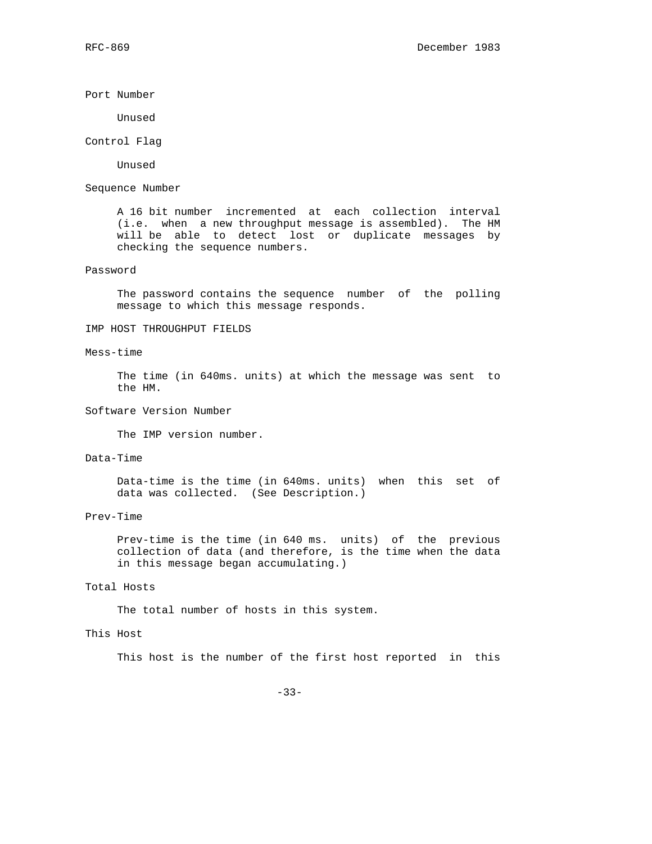#### Port Number

Unused

#### Control Flag

Unused

### Sequence Number

 A 16 bit number incremented at each collection interval (i.e. when a new throughput message is assembled). The HM will be able to detect lost or duplicate messages by checking the sequence numbers.

### Password

 The password contains the sequence number of the polling message to which this message responds.

# IMP HOST THROUGHPUT FIELDS

### Mess-time

 The time (in 640ms. units) at which the message was sent to the HM.

### Software Version Number

The IMP version number.

# Data-Time

 Data-time is the time (in 640ms. units) when this set of data was collected. (See Description.)

#### Prev-Time

 Prev-time is the time (in 640 ms. units) of the previous collection of data (and therefore, is the time when the data in this message began accumulating.)

### Total Hosts

The total number of hosts in this system.

### This Host

This host is the number of the first host reported in this

-33-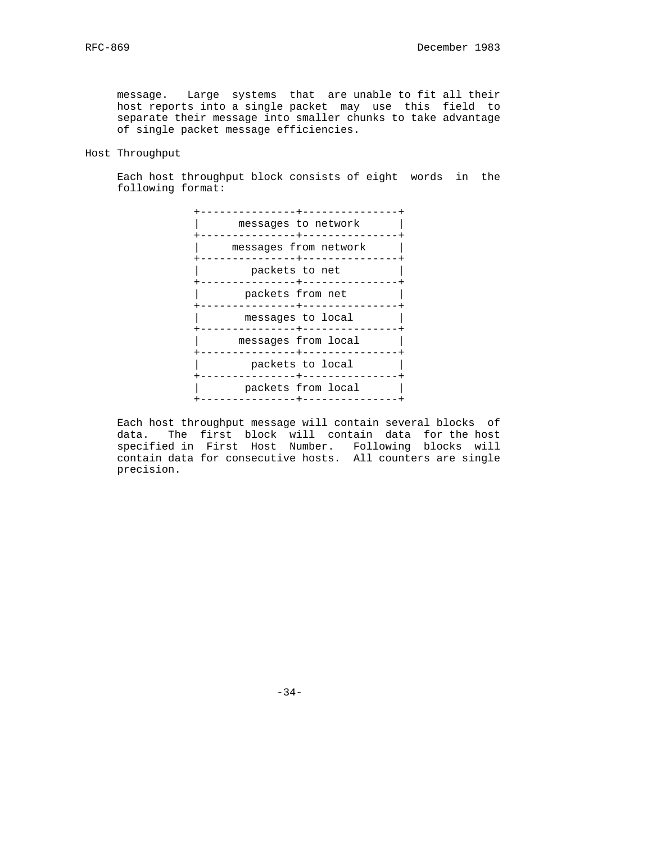message. Large systems that are unable to fit all their host reports into a single packet may use this field to separate their message into smaller chunks to take advantage of single packet message efficiencies.

### Host Throughput

 Each host throughput block consists of eight words in the following format:



 Each host throughput message will contain several blocks of data. The first block will contain data for the host specified in First Host Number. Following blocks will contain data for consecutive hosts. All counters are single precision.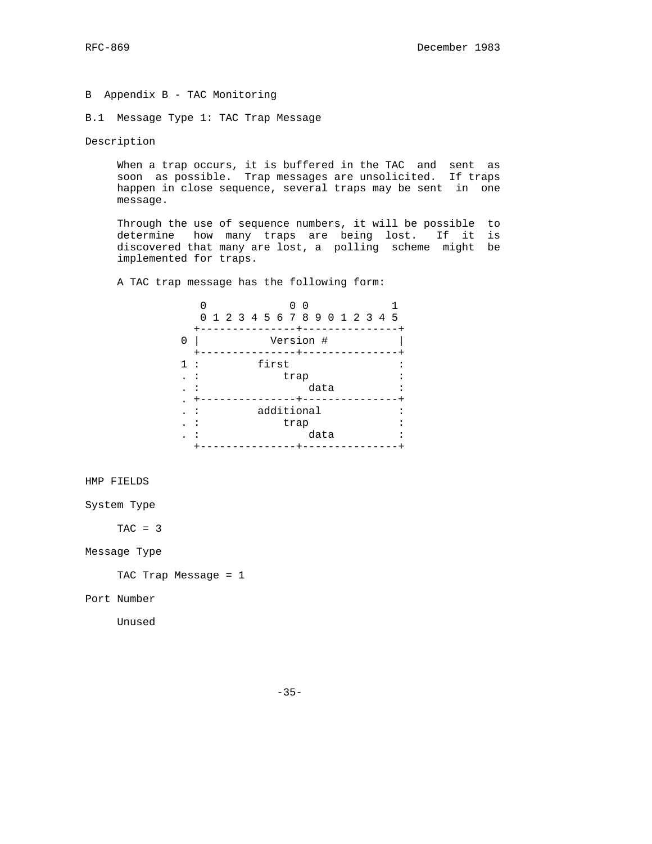B Appendix B - TAC Monitoring

B.1 Message Type 1: TAC Trap Message

Description

 When a trap occurs, it is buffered in the TAC and sent as soon as possible. Trap messages are unsolicited. If traps happen in close sequence, several traps may be sent in one message.

 Through the use of sequence numbers, it will be possible to determine how many traps are being lost. If it is discovered that many are lost, a polling scheme might be implemented for traps.

A TAC trap message has the following form:

|   | 0 1 2 3 4 5 6 7 8 9 0 1 2 3 4 5 |            | 0<br>- 0 |      |  |  |  |
|---|---------------------------------|------------|----------|------|--|--|--|
| 0 |                                 | Version #  |          |      |  |  |  |
|   |                                 | first      | trap     | data |  |  |  |
|   |                                 | additional | trap     | data |  |  |  |

HMP FIELDS

System Type

 $TAC = 3$ 

Message Type

TAC Trap Message = 1

Port Number

Unused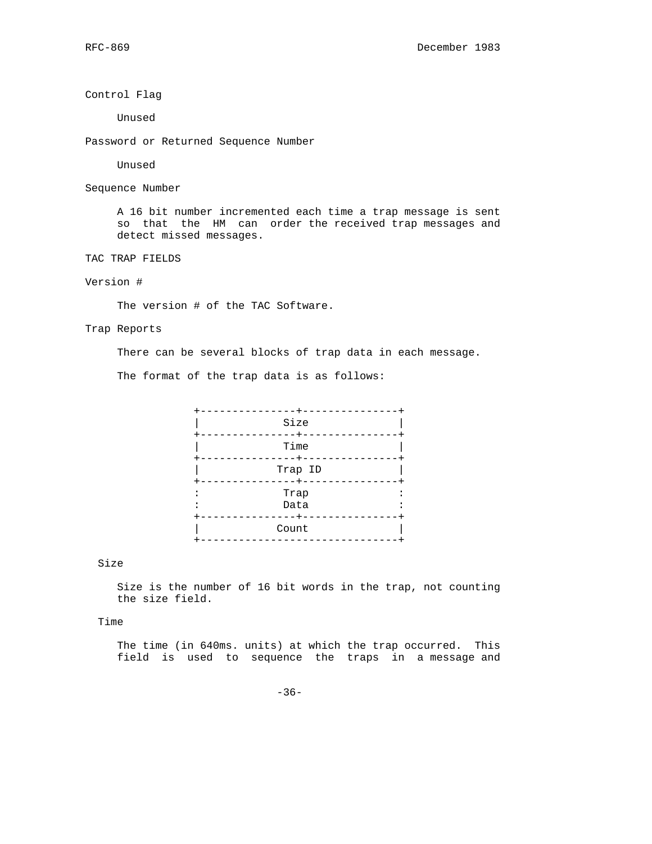Control Flag

Unused

Password or Returned Sequence Number

Unused

Sequence Number

 A 16 bit number incremented each time a trap message is sent so that the HM can order the received trap messages and detect missed messages.

TAC TRAP FIELDS

# Version #

The version # of the TAC Software.

Trap Reports

There can be several blocks of trap data in each message.

The format of the trap data is as follows:



# Size

 Size is the number of 16 bit words in the trap, not counting the size field.

Time

 The time (in 640ms. units) at which the trap occurred. This field is used to sequence the traps in a message and

 $-36-$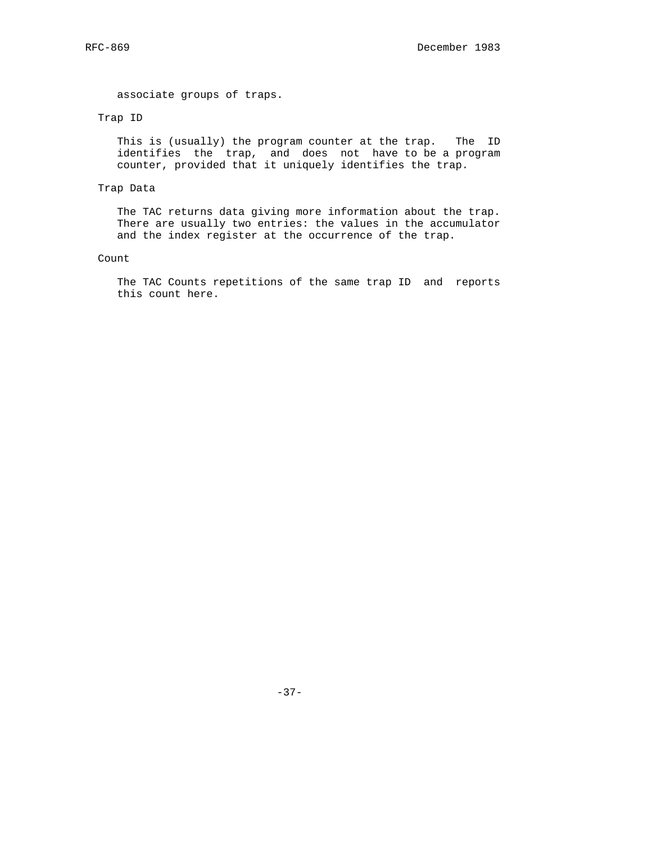associate groups of traps.

# Trap ID

 This is (usually) the program counter at the trap. The ID identifies the trap, and does not have to be a program counter, provided that it uniquely identifies the trap.

# Trap Data

 The TAC returns data giving more information about the trap. There are usually two entries: the values in the accumulator and the index register at the occurrence of the trap.

#### Count

 The TAC Counts repetitions of the same trap ID and reports this count here.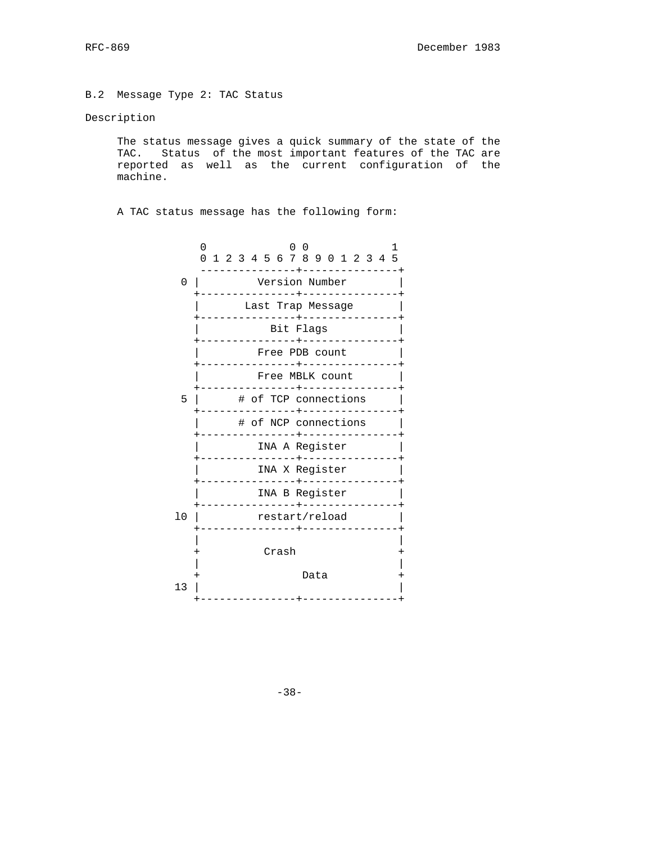B.2 Message Type 2: TAC Status

# Description

 The status message gives a quick summary of the state of the TAC. Status of the most important features of the TAC are reported as well as the current configuration of the machine.

A TAC status message has the following form:

|    | 0<br>1<br>$\left( \right)$<br>0 1 2 3 4 5 6 7 8 9 0 1 2 3 4 5 |
|----|---------------------------------------------------------------|
| 0  | ------+--------------<br>Version Number                       |
|    | Last Trap Message                                             |
|    | Bit Flags<br>_________________________                        |
|    | Free PDB count<br>--------------+---------------+             |
|    | Free MBLK count<br>---------------+<br>-------------          |
| 5  | # of TCP connections<br>__________                            |
|    | # of NCP connections                                          |
|    | INA A Register                                                |
|    | INA X Register<br>--------------+---------------+             |
|    | INA B Register<br>--------------+---------------              |
| 10 | restart/reload<br>---------------+---------------+            |
|    | Crash                                                         |
|    | Data                                                          |
| 13 |                                                               |

-38-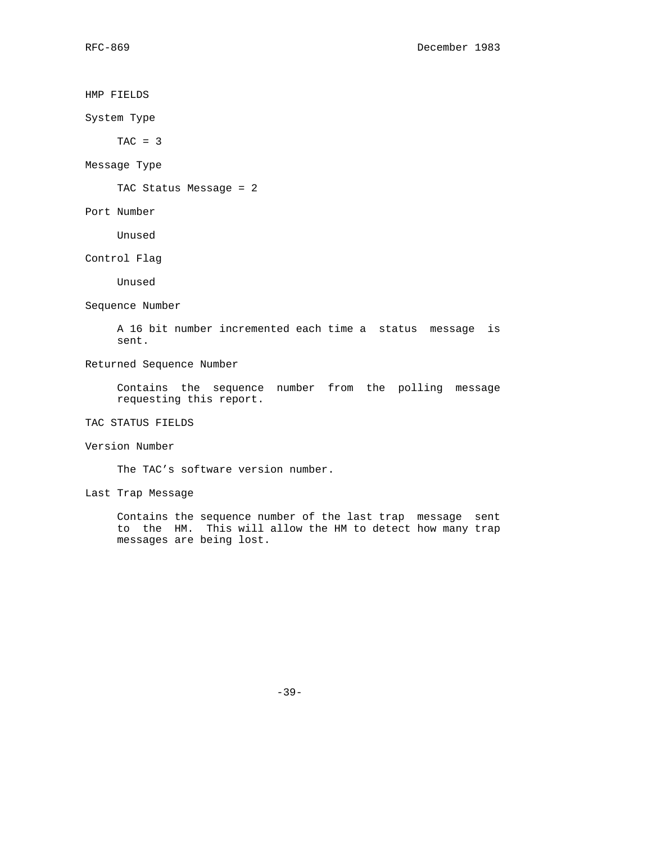## HMP FIELDS

System Type

 $TAC = 3$ 

Message Type

TAC Status Message = 2

Port Number

Unused

Control Flag

Unused

Sequence Number

 A 16 bit number incremented each time a status message is sent.

# Returned Sequence Number

 Contains the sequence number from the polling message requesting this report.

TAC STATUS FIELDS

Version Number

The TAC's software version number.

Last Trap Message

 Contains the sequence number of the last trap message sent to the HM. This will allow the HM to detect how many trap messages are being lost.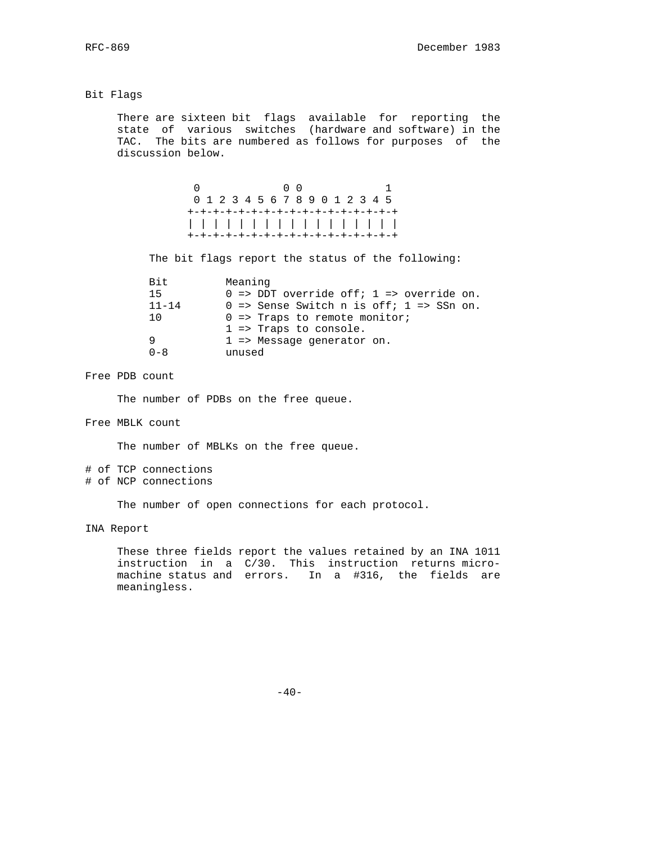#### Bit Flags

 There are sixteen bit flags available for reporting the state of various switches (hardware and software) in the TAC. The bits are numbered as follows for purposes of the discussion below.

> 0 0 0 1 0 1 2 3 4 5 6 7 8 9 0 1 2 3 4 5 +-+-+-+-+-+-+-+-+-+-+-+-+-+-+-+-+ | | | | | | | | | | | | | | | | | +-+-+-+-+-+-+-+-+-+-+-+-+-+-+-+-+

The bit flags report the status of the following:

| Bit       | Meaning                                                        |
|-----------|----------------------------------------------------------------|
| 15        | $0 \Rightarrow$ DDT override off; 1 => override on.            |
| $11 - 14$ | $0 \Rightarrow$ Sense Switch n is off; $1 \Rightarrow$ SSn on. |
| 1 O       | $0 \Rightarrow$ Traps to remote monitor;                       |
|           | $1 \Rightarrow$ Traps to console.                              |
| 9         | 1 => Message generator on.                                     |
| $0 - 8$   | unused                                                         |

Free PDB count

The number of PDBs on the free queue.

Free MBLK count

The number of MBLKs on the free queue.

# of TCP connections # of NCP connections

The number of open connections for each protocol.

INA Report

 These three fields report the values retained by an INA 1011 instruction in a C/30. This instruction returns micro machine status and errors. In a #316, the fields are meaningless.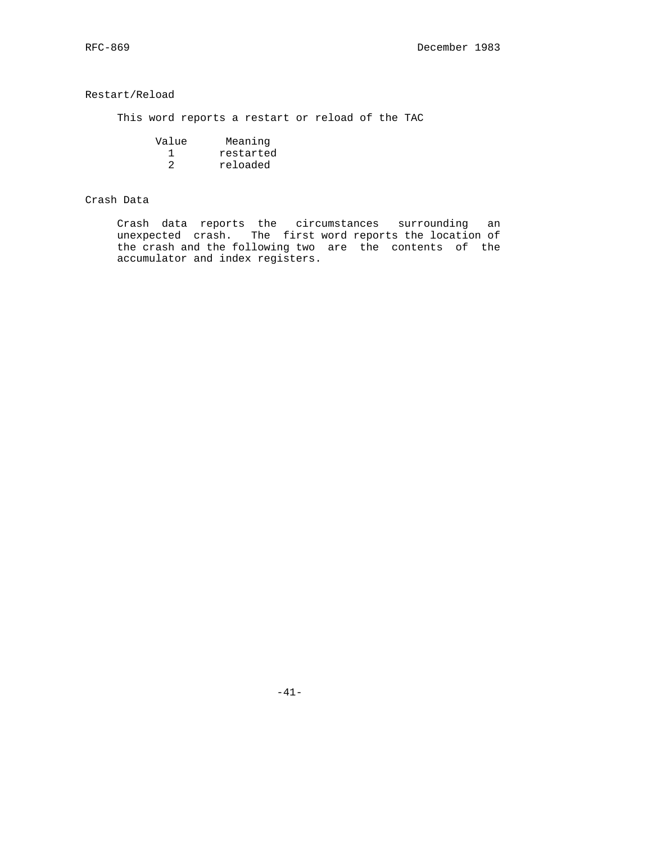# Restart/Reload

This word reports a restart or reload of the TAC

| Value | Meaning   |
|-------|-----------|
|       | restarted |
|       | reloaded  |

# Crash Data

 Crash data reports the circumstances surrounding an unexpected crash. The first word reports the location of the crash and the following two are the contents of the accumulator and index registers.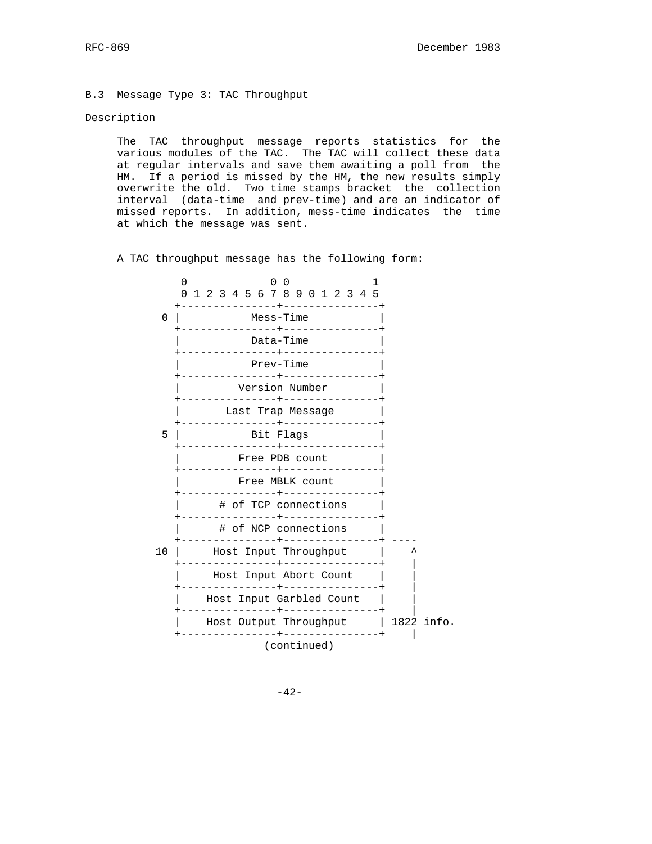B.3 Message Type 3: TAC Throughput

#### Description

 The TAC throughput message reports statistics for the various modules of the TAC. The TAC will collect these data at regular intervals and save them awaiting a poll from the HM. If a period is missed by the HM, the new results simply overwrite the old. Two time stamps bracket the collection interval (data-time and prev-time) and are an indicator of missed reports. In addition, mess-time indicates the time at which the message was sent.

A TAC throughput message has the following form:

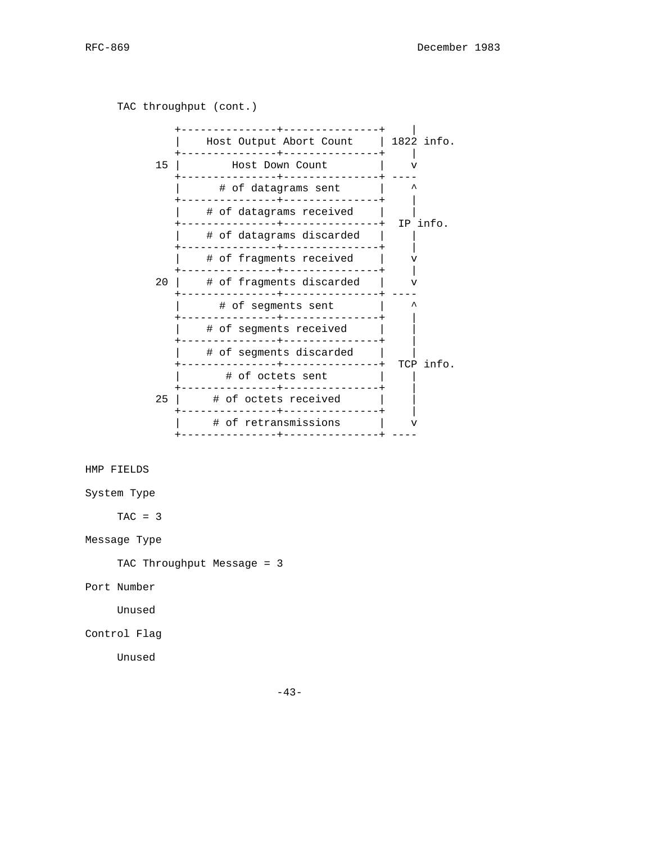TAC throughput (cont.) +---------------+---------------+ | | Host Output Abort Count | 1822 info. +---------------+---------------+ | 15 | Host Down Count | v +---------------+---------------+ ---- | # of datagrams sent | ^ +---------------+---------------+ | | # of datagrams received | | +---------------+---------------+ IP info. | # of datagrams discarded | | +---------------+---------------+ | | # of fragments received | v +---------------+---------------+ | 20 | # of fragments discarded | v +---------------+---------------+ ---- | # of segments sent | ^ .<br>+----------------+---------------+ | | # of segments received | | +---------------+---------------+ | | # of segments discarded | | +---------------+---------------+ TCP info. | # of octets sent +---------------+---------------+ | 25 | # of octets received | +---------------+---------------+ | | # of retransmissions | v +---------------+---------------+ ---- HMP FIELDS System Type  $TAC = 3$ Message Type TAC Throughput Message = 3 Port Number Unused Control Flag Unused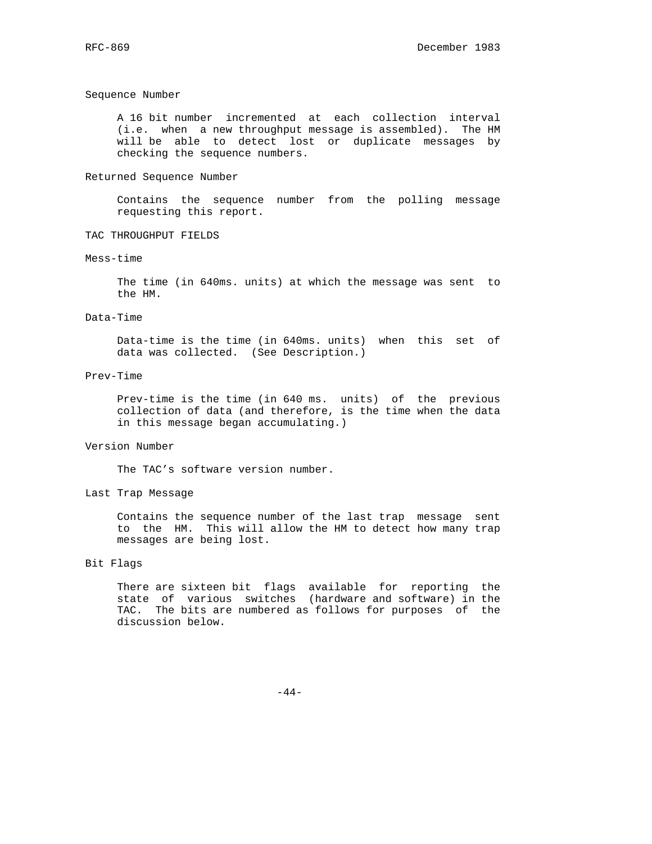#### Sequence Number

 A 16 bit number incremented at each collection interval (i.e. when a new throughput message is assembled). The HM will be able to detect lost or duplicate messages by checking the sequence numbers.

#### Returned Sequence Number

 Contains the sequence number from the polling message requesting this report.

## TAC THROUGHPUT FIELDS

#### Mess-time

 The time (in 640ms. units) at which the message was sent to the HM.

#### Data-Time

 Data-time is the time (in 640ms. units) when this set of data was collected. (See Description.)

#### Prev-Time

 Prev-time is the time (in 640 ms. units) of the previous collection of data (and therefore, is the time when the data in this message began accumulating.)

#### Version Number

The TAC's software version number.

#### Last Trap Message

 Contains the sequence number of the last trap message sent to the HM. This will allow the HM to detect how many trap messages are being lost.

# Bit Flags

 There are sixteen bit flags available for reporting the state of various switches (hardware and software) in the TAC. The bits are numbered as follows for purposes of the discussion below.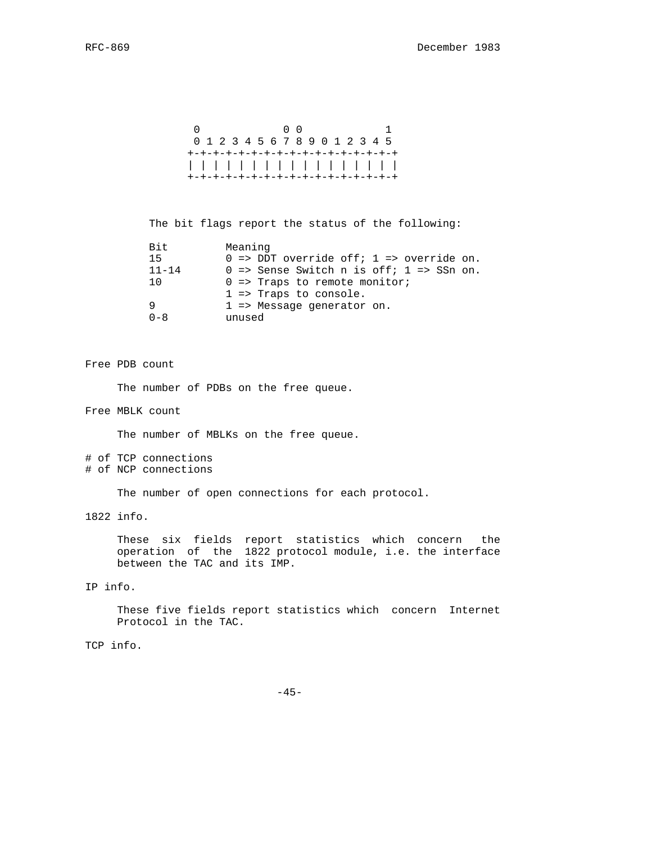```
0 0 0 1
 0 1 2 3 4 5 6 7 8 9 0 1 2 3 4 5
 +-+-+-+-+-+-+-+-+-+-+-+-+-+-+-+-+
 | | | | | | | | | | | | | | | | |
 +-+-+-+-+-+-+-+-+-+-+-+-+-+-+-+-+
```
The bit flags report the status of the following:

| Bit       | Meaning                                                        |
|-----------|----------------------------------------------------------------|
| 15        | $0 \Rightarrow$ DDT override off; $1 \Rightarrow$ override on. |
| $11 - 14$ | $0 \Rightarrow$ Sense Switch n is off; $1 \Rightarrow$ SSn on. |
| 1 O       | $0 \Rightarrow$ Traps to remote monitor;                       |
|           | $1 \Rightarrow$ Traps to console.                              |
| 9         | $1 \Rightarrow$ Message generator on.                          |
| $0 - 8$   | unused                                                         |

#### Free PDB count

The number of PDBs on the free queue.

Free MBLK count

The number of MBLKs on the free queue.

# of TCP connections # of NCP connections

The number of open connections for each protocol.

1822 info.

 These six fields report statistics which concern the operation of the 1822 protocol module, i.e. the interface between the TAC and its IMP.

IP info.

 These five fields report statistics which concern Internet Protocol in the TAC.

TCP info.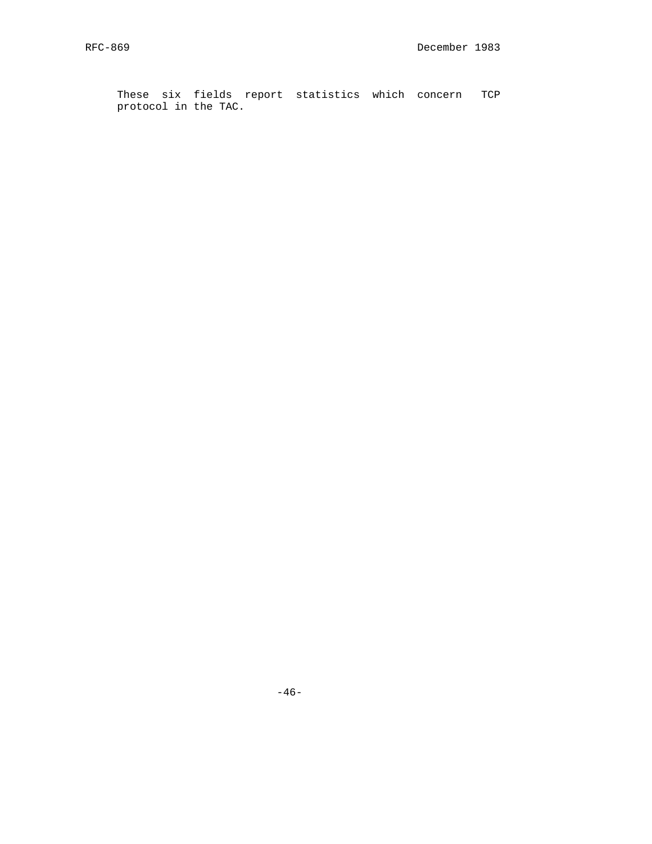These six fields report statistics which concern TCP protocol in the TAC.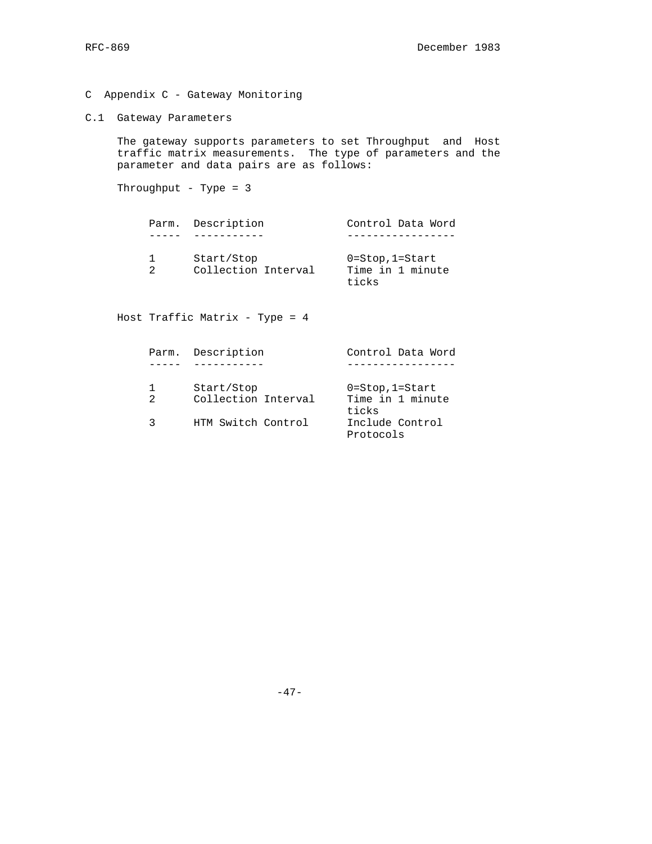- C Appendix C Gateway Monitoring
- C.1 Gateway Parameters

 The gateway supports parameters to set Throughput and Host traffic matrix measurements. The type of parameters and the parameter and data pairs are as follows:

Throughput - Type = 3

|  | Parm. Description                 | Control Data Word                                     |
|--|-----------------------------------|-------------------------------------------------------|
|  |                                   |                                                       |
|  | Start/Stop<br>Collection Interval | $0 = Stop$ , $1 = Start$<br>Time in 1 minute<br>ticks |

Host Traffic Matrix - Type = 4

| Parm.          | Description                       | Control Data Word                                  |
|----------------|-----------------------------------|----------------------------------------------------|
|                |                                   |                                                    |
| $\mathfrak{D}$ | Start/Stop<br>Collection Interval | $0 = Stop, 1 = Start$<br>Time in 1 minute<br>ticks |
|                | HTM Switch Control                | Include Control<br>Protocols                       |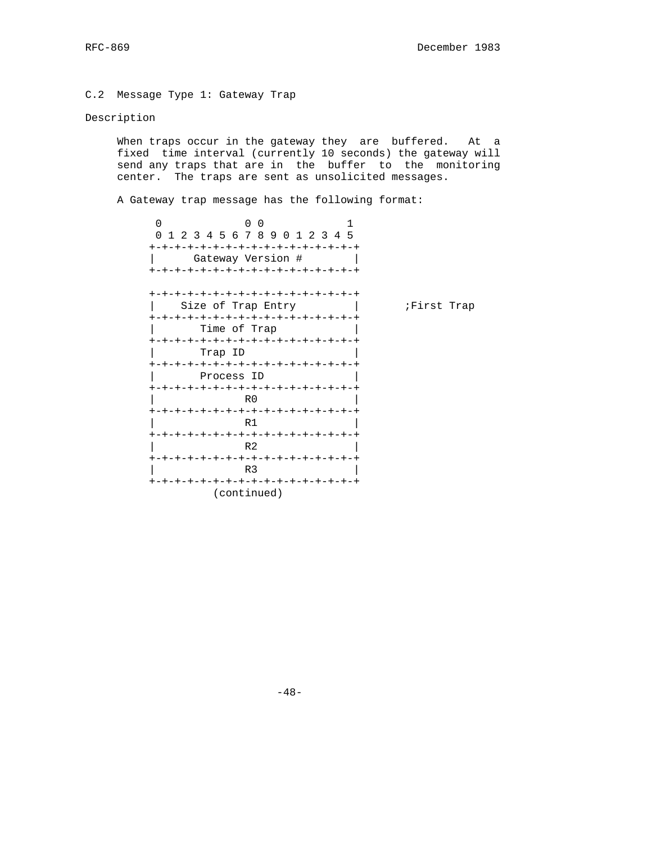C.2 Message Type 1: Gateway Trap

# Description

When traps occur in the gateway they are buffered. At a fixed time interval (currently 10 seconds) the gateway will send any traps that are in the buffer to the monitoring center. The traps are sent as unsolicited messages.

A Gateway trap message has the following format:

| $\Omega$<br>$\Omega$<br>$\Omega$    |            |
|-------------------------------------|------------|
| 0 1 2 3 4 5 6 7 8 9 0 1 2 3 4 5     |            |
| +-+-+-+-+-+-+-+-+-+-+-+-+-+-+-+-+-+ |            |
| Gateway Version #                   |            |
| +-+-+-+-+-+-+-+-+-+-+-+-+-+-+-+-+-+ |            |
|                                     |            |
| +-+-+-+-+-+-+-+-+-+-+-+-+-+-+-+-+-  |            |
| Size of Trap Entry                  | First Trap |
| +-+-+-+-+-+-+-+-+-+-+-+-+-+-+-+-+-+ |            |
| Time of Trap                        |            |
| +-+-+-+-+-+-+-+-+-+-+-+-+-+-+-+-+-+ |            |
| Trap ID                             |            |
| +-+-+-+-+-+-+-+-+-+-+-+-+-+-+-+-+-+ |            |
| Process ID                          |            |
| +-+-+-+-+-+-+-+-+-+-+-+-+-+-+-+-+-+ |            |
| R0                                  |            |
| +-+-+-+-+-+-+-+-+-+-+-+-+-+-+-+-+-  |            |
| R 1                                 |            |
| +-+-+-+-+-+-+-+-+-+-+-+-+-+-+-+-+   |            |
| R <sub>2</sub>                      |            |
| +-+-+-+-+-+-+-+-+-+-+-+-+-+-+-+-+-  |            |
| R <sub>3</sub>                      |            |
| +-+-+-+-+-+-+-+-+-+-+-+-+-+-+-+-+-  |            |
| (continued)                         |            |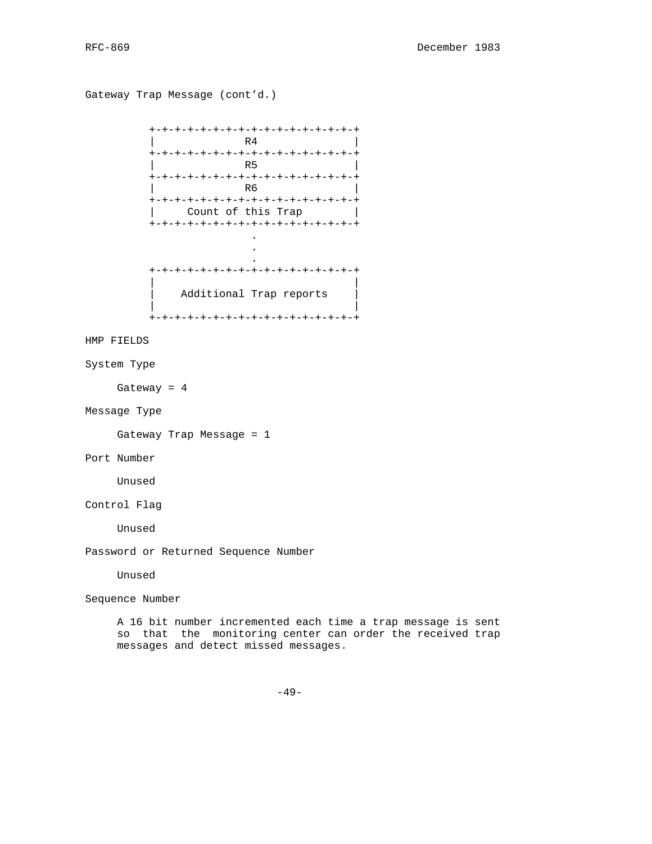Gateway Trap Message (cont'd.) +-+-+-+-+-+-+-+-+-+-+-+-+-+-+-+-+ | R4 | R4 | R1 +-+-+-+-+-+-+-+-+-+-+-+-+-+-+-+-+ | R5 | +-+-+-+-+-+-+-+-+-+-+-+-+-+-+-+-+ | R6 | +-+-+-+-+-+-+-+-+-+-+-+-+-+-+-+-+ Count of this Trap +-+-+-+-+-+-+-+-+-+-+-+-+-+-+-+-+ . . . +-+-+-+-+-+-+-+-+-+-+-+-+-+-+-+-+ | | Additional Trap reports | | +-+-+-+-+-+-+-+-+-+-+-+-+-+-+-+-+ HMP FIELDS System Type Gateway = 4 Message Type Gateway Trap Message = 1 Port Number Unused Control Flag Unused Password or Returned Sequence Number Unused Sequence Number A 16 bit number incremented each time a trap message is sent so that the monitoring center can order the received trap

messages and detect missed messages.

-49-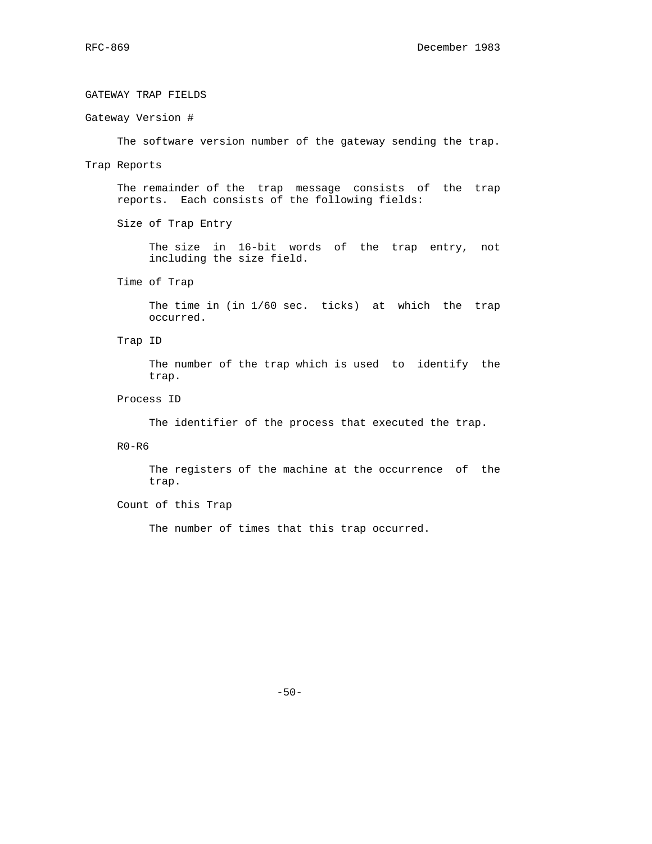# GATEWAY TRAP FIELDS Gateway Version # The software version number of the gateway sending the trap. Trap Reports The remainder of the trap message consists of the trap reports. Each consists of the following fields: Size of Trap Entry The size in 16-bit words of the trap entry, not including the size field. Time of Trap The time in (in 1/60 sec. ticks) at which the trap occurred. Trap ID The number of the trap which is used to identify the trap. Process ID The identifier of the process that executed the trap.

R0-R6

 The registers of the machine at the occurrence of the trap.

# Count of this Trap

The number of times that this trap occurred.

-50-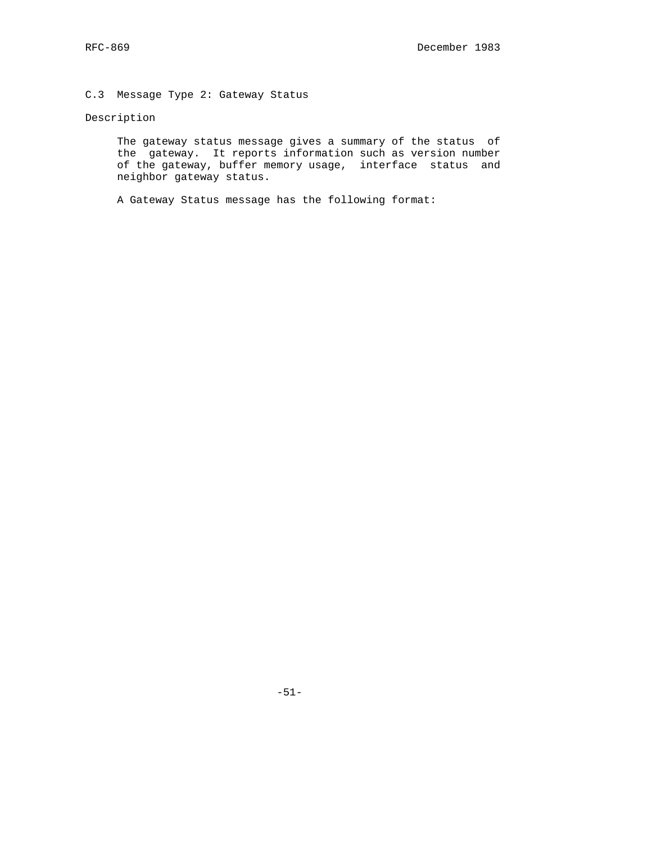# C.3 Message Type 2: Gateway Status

# Description

 The gateway status message gives a summary of the status of the gateway. It reports information such as version number of the gateway, buffer memory usage, interface status and neighbor gateway status.

A Gateway Status message has the following format: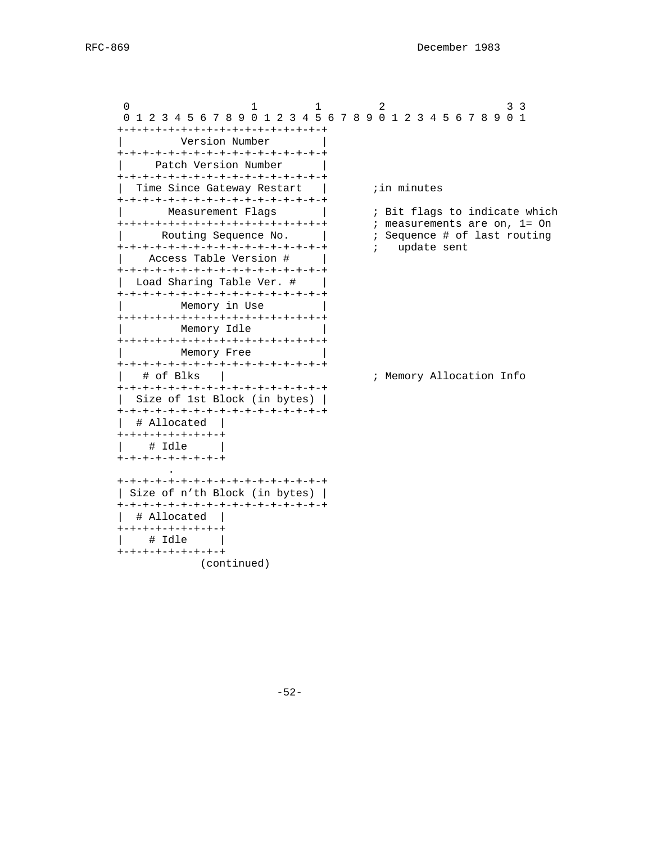0 1 1 2 3 3 3 0 1 2 3 4 5 6 7 8 9 0 1 2 3 4 5 6 7 8 9 0 1 2 3 4 5 6 7 8 9 0 1 +-+-+-+-+-+-+-+-+-+-+-+-+-+-+-+-+ | Version Number | +-+-+-+-+-+-+-+-+-+-+-+-+-+-+-+-+ Patch Version Number +-+-+-+-+-+-+-+-+-+-+-+-+-+-+-+-+ | Time Since Gateway Restart | ;in minutes +-+-+-+-+-+-+-+-+-+-+-+-+-+-+-+-+-+<br>| Measurement Flags Measurement Flags | ; Bit flags to indicate which +-+-+-+-+-+-+-+-+-+-+-+-+-+-+-+-+ ; measurements are on, 1= On % Ineasurements are set,<br>
Sequence # of last routing<br>
; update sent +-+-+-+-+-+-+-+-+-+-+-+-+-+-+-+-+ ; update sent | Access Table Version # | +-+-+-+-+-+-+-+-+-+-+-+-+-+-+-+-+ | Load Sharing Table Ver. # +-+-+-+-+-+-+-+-+-+-+-+-+-+-+-+-+ Memory in Use +-+-+-+-+-+-+-+-+-+-+-+-+-+-+-+-+ Memory Idle +-+-+-+-+-+-+-+-+-+-+-+-+-+-+-+-+ Memory Free +-+-+-+-+-+-+-+-+-+-+-+-+-+-+-+-+ | # of Blks | ; Memory Allocation Info +-+-+-+-+-+-+-+-+-+-+-+-+-+-+-+-+ | Size of 1st Block (in bytes) | +-+-+-+-+-+-+-+-+-+-+-+-+-+-+-+-+ | # Allocated | +-+-+-+-+-+-+-+-+ | # Idle | +-+-+-+-+-+-+-+-+ . +-+-+-+-+-+-+-+-+-+-+-+-+-+-+-+-+ | Size of n'th Block (in bytes) | +-+-+-+-+-+-+-+-+-+-+-+-+-+-+-+-+ | # Allocated | +-+-+-+-+-+-+-+-+ | # Idle | +-+-+-+-+-+-+-+-+ (continued)

-52-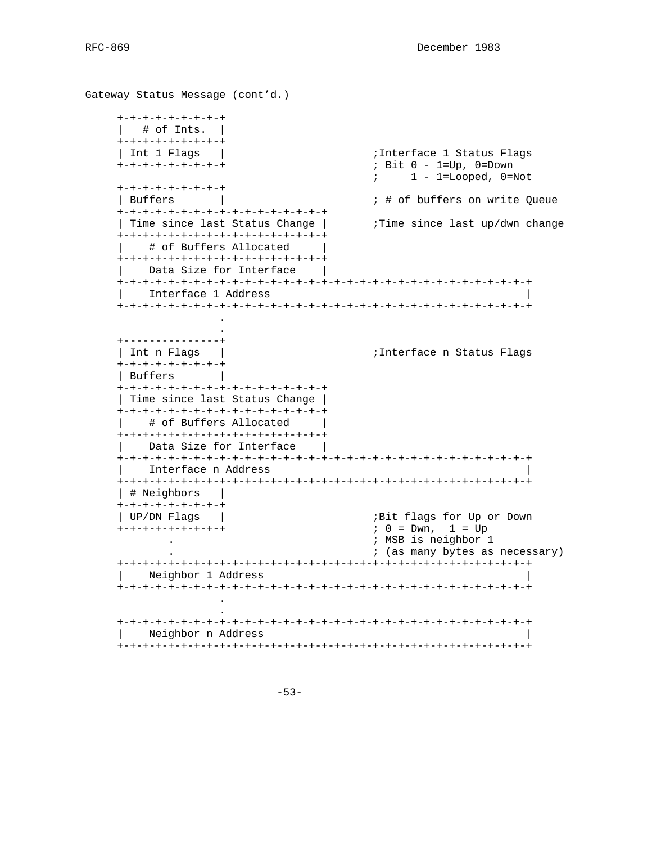```
Gateway Status Message (cont'd.)
     +-+-+-+-+-+-+-+-+
    | # of Ints. | +-+-+-+-+-+-+-+-+
    | Int 1 Flags | ;Interface 1 Status Flags
     +-+-+-+-+-+-+-+-+ ; Bit 0 - 1=Up, 0=Down
                                       ; 1 - 1 =Looped, 0 =Not
     +-+-+-+-+-+-+-+-+
    | Buffers | ; # of buffers on write Queue
     +-+-+-+-+-+-+-+-+-+-+-+-+-+-+-+-+
    | Time since last Status Change | ;Time since last up/dwn change
     +-+-+-+-+-+-+-+-+-+-+-+-+-+-+-+-+
        # of Buffers Allocated
     +-+-+-+-+-+-+-+-+-+-+-+-+-+-+-+-+
       Data Size for Interface
     +-+-+-+-+-+-+-+-+-+-+-+-+-+-+-+-+-+-+-+-+-+-+-+-+-+-+-+-+-+-+-+-+
       Interface 1 Address
     +-+-+-+-+-+-+-+-+-+-+-+-+-+-+-+-+-+-+-+-+-+-+-+-+-+-+-+-+-+-+-+-+
 .
 .
     +---------------+
    | Int n Flags | ;Interface n Status Flags
     +-+-+-+-+-+-+-+-+
     | Buffers |
     +-+-+-+-+-+-+-+-+-+-+-+-+-+-+-+-+
     | Time since last Status Change |
     +-+-+-+-+-+-+-+-+-+-+-+-+-+-+-+-+
        # of Buffers Allocated
     +-+-+-+-+-+-+-+-+-+-+-+-+-+-+-+-+
       Data Size for Interface
     +-+-+-+-+-+-+-+-+-+-+-+-+-+-+-+-+-+-+-+-+-+-+-+-+-+-+-+-+-+-+-+-+
         | Interface n Address |
     +-+-+-+-+-+-+-+-+-+-+-+-+-+-+-+-+-+-+-+-+-+-+-+-+-+-+-+-+-+-+-+-+
     | # Neighbors |
     +-+-+-+-+-+-+-+-+
     | UP/DN Flags | ;Bit flags for Up or Down
     +-+-+-+-+-+-+-+-+ ; 0 = Dwn, 1 = Up
                                        . ; MSB is neighbor 1
                                        . ; (as many bytes as necessary)
     +-+-+-+-+-+-+-+-+-+-+-+-+-+-+-+-+-+-+-+-+-+-+-+-+-+-+-+-+-+-+-+-+
       Neighbor 1 Address
     +-+-+-+-+-+-+-+-+-+-+-+-+-+-+-+-+-+-+-+-+-+-+-+-+-+-+-+-+-+-+-+-+
 .
 .
     +-+-+-+-+-+-+-+-+-+-+-+-+-+-+-+-+-+-+-+-+-+-+-+-+-+-+-+-+-+-+-+-+
     | Neighbor n Address |
     +-+-+-+-+-+-+-+-+-+-+-+-+-+-+-+-+-+-+-+-+-+-+-+-+-+-+-+-+-+-+-+-+
```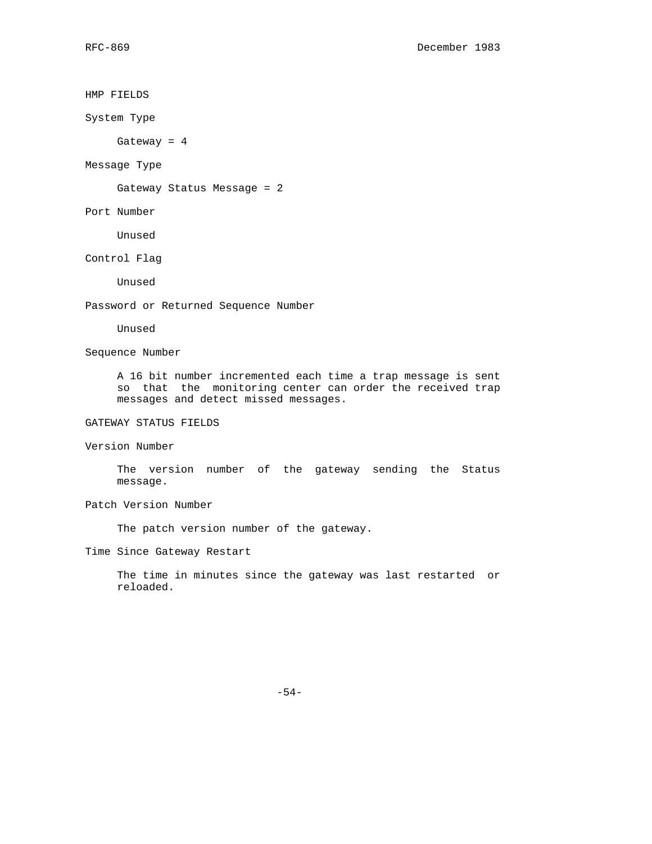HMP FIELDS System Type Gateway = 4 Message Type Gateway Status Message = 2 Port Number Unused Control Flag Unused Password or Returned Sequence Number Unused Sequence Number A 16 bit number incremented each time a trap message is sent so that the monitoring center can order the received trap messages and detect missed messages. GATEWAY STATUS FIELDS Version Number The version number of the gateway sending the Status message. Patch Version Number The patch version number of the gateway. Time Since Gateway Restart The time in minutes since the gateway was last restarted or reloaded.

-54-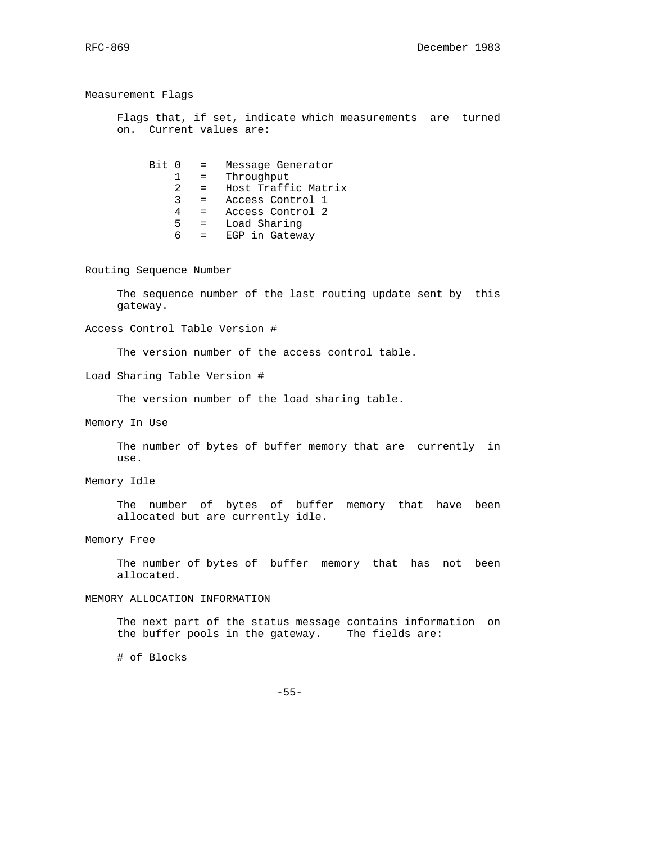Measurement Flags Flags that, if set, indicate which measurements are turned on. Current values are: Bit 0 = Message Generator 1 = Throughput 2 = Host Traffic Matrix 3 = Access Control 1 4 = Access Control 2 5 = Load Sharing  $6 = EGP$  in Gateway Routing Sequence Number The sequence number of the last routing update sent by this gateway. Access Control Table Version # The version number of the access control table. Load Sharing Table Version # The version number of the load sharing table. Memory In Use The number of bytes of buffer memory that are currently in use. Memory Idle The number of bytes of buffer memory that have been allocated but are currently idle. Memory Free The number of bytes of buffer memory that has not been allocated. MEMORY ALLOCATION INFORMATION The next part of the status message contains information on the buffer pools in the gateway. The fields are: # of Blocks

-55-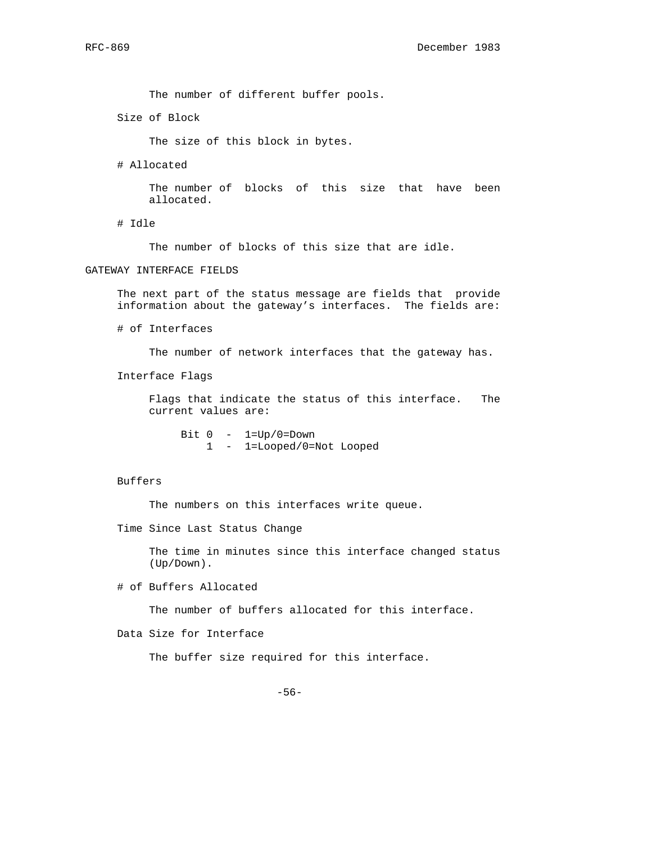The number of different buffer pools.

Size of Block

The size of this block in bytes.

# Allocated

 The number of blocks of this size that have been allocated.

# Idle

The number of blocks of this size that are idle.

## GATEWAY INTERFACE FIELDS

 The next part of the status message are fields that provide information about the gateway's interfaces. The fields are:

# of Interfaces

The number of network interfaces that the gateway has.

Interface Flags

 Flags that indicate the status of this interface. The current values are:

Bit  $0 - 1=Up/0=Down$ 1 - 1=Looped/0=Not Looped

## Buffers

The numbers on this interfaces write queue.

Time Since Last Status Change

 The time in minutes since this interface changed status (Up/Down).

# of Buffers Allocated

The number of buffers allocated for this interface.

Data Size for Interface

The buffer size required for this interface.

-56-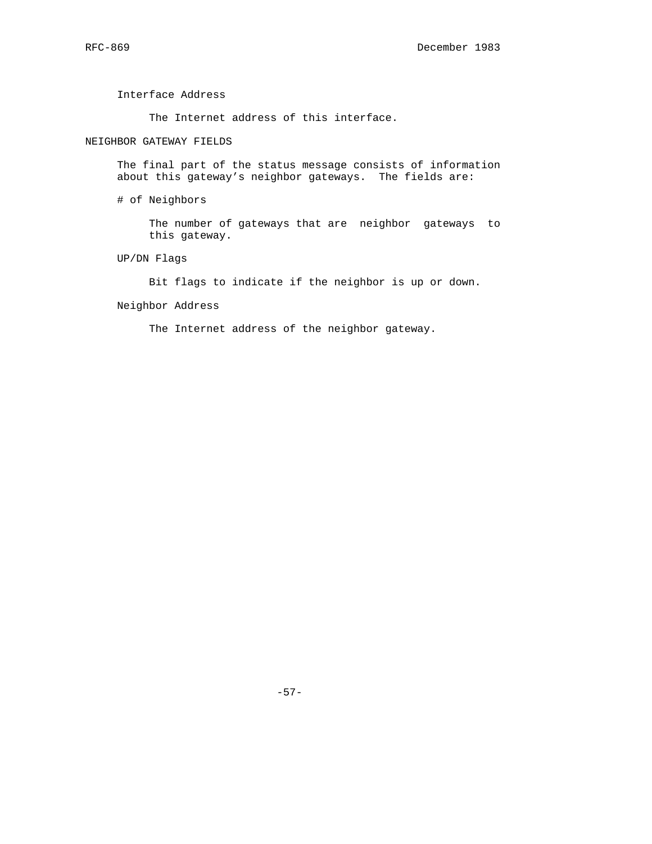Interface Address

The Internet address of this interface.

# NEIGHBOR GATEWAY FIELDS

 The final part of the status message consists of information about this gateway's neighbor gateways. The fields are:

# of Neighbors

 The number of gateways that are neighbor gateways to this gateway.

UP/DN Flags

Bit flags to indicate if the neighbor is up or down.

Neighbor Address

The Internet address of the neighbor gateway.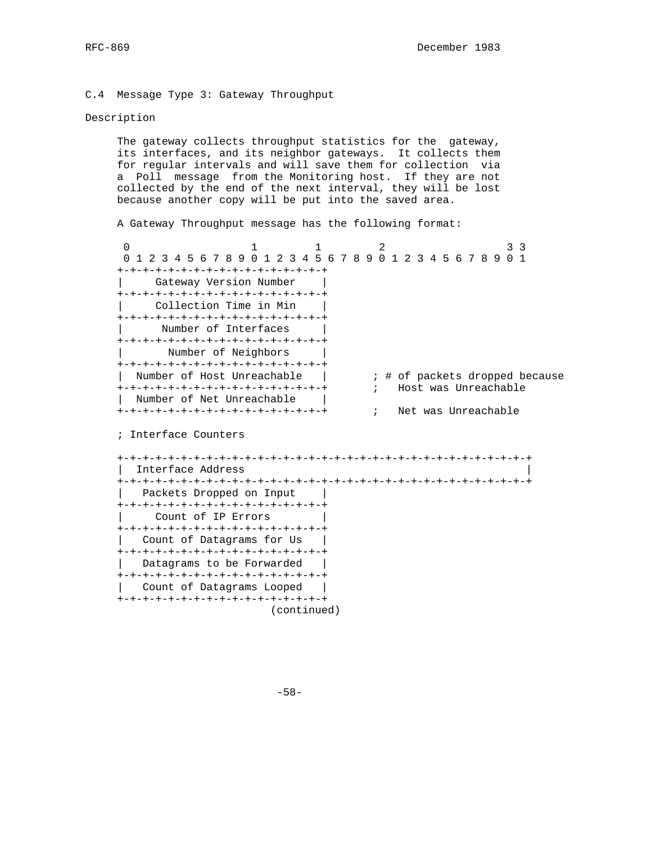## C.4 Message Type 3: Gateway Throughput

| Count of IP Errors +-+-+-+-+-+-+-+-+-+-+-+-+-+-+-+-+ | Count of Datagrams for Us | +-+-+-+-+-+-+-+-+-+-+-+-+-+-+-+-+ | Datagrams to be Forwarded | +-+-+-+-+-+-+-+-+-+-+-+-+-+-+-+-+ | Count of Datagrams Looped | +-+-+-+-+-+-+-+-+-+-+-+-+-+-+-+-+

## Description

 The gateway collects throughput statistics for the gateway, its interfaces, and its neighbor gateways. It collects them for regular intervals and will save them for collection via a Poll message from the Monitoring host. If they are not collected by the end of the next interval, they will be lost because another copy will be put into the saved area.

A Gateway Throughput message has the following format:

| $\Omega$                            |                            |  |           |  |            | 2 |                      |  |  |  | २ | - 3                            |
|-------------------------------------|----------------------------|--|-----------|--|------------|---|----------------------|--|--|--|---|--------------------------------|
|                                     | 1 2 3 4 5 6 7 8 9 0 1      |  | 2 3 4 5 6 |  |            |   | 789012345678901      |  |  |  |   |                                |
| +-+-+-+-+-+-+-+-+-+-+-+-+-+-+-+-+-+ |                            |  |           |  |            |   |                      |  |  |  |   |                                |
|                                     | Gateway Version Number     |  |           |  |            |   |                      |  |  |  |   |                                |
| +-+-+-+-+-+-+-+-+-+-+-+-+-+-+-+-+-+ |                            |  |           |  |            |   |                      |  |  |  |   |                                |
|                                     | Collection Time in Min     |  |           |  |            |   |                      |  |  |  |   |                                |
| +-+-+-+-+-+-+-+-+-+-+-+-+-+-+-+-+   |                            |  |           |  |            |   |                      |  |  |  |   |                                |
|                                     | Number of Interfaces       |  |           |  |            |   |                      |  |  |  |   |                                |
| +-+-+-+-+-+-+-+-+-+-+-+-+-+-+-+-+-+ |                            |  |           |  |            |   |                      |  |  |  |   |                                |
|                                     | Number of Neighbors        |  |           |  |            |   |                      |  |  |  |   |                                |
| +-+-+-+-+-+-+-+-+-+-+-+-+-+-+-+-+-+ |                            |  |           |  |            |   |                      |  |  |  |   |                                |
|                                     | Number of Host Unreachable |  |           |  |            |   |                      |  |  |  |   | ; # of packets dropped because |
| +-+-+-+-+-+-+-+-+-+-+-+-+-+-+-+-+-+ |                            |  |           |  | $\ddot{i}$ |   | Host was Unreachable |  |  |  |   |                                |
|                                     | Number of Net Unreachable  |  |           |  |            |   |                      |  |  |  |   |                                |
| +-+-+-+-+-+-+-+-+-+-+-+-+-+-+-+-+-+ |                            |  |           |  | $\ddot{i}$ |   | Net was Unreachable  |  |  |  |   |                                |
|                                     |                            |  |           |  |            |   |                      |  |  |  |   |                                |
| ; Interface Counters                |                            |  |           |  |            |   |                      |  |  |  |   |                                |
|                                     |                            |  |           |  |            |   |                      |  |  |  |   |                                |
|                                     |                            |  |           |  |            |   |                      |  |  |  |   |                                |
|                                     | Interface Address          |  |           |  |            |   |                      |  |  |  |   |                                |
|                                     |                            |  |           |  |            |   |                      |  |  |  |   |                                |
|                                     | Packets Dropped on Input   |  |           |  |            |   |                      |  |  |  |   |                                |
| +-+-+-+-+-+-+-+-+-+-+-+-+-+-+-+-+-+ |                            |  |           |  |            |   |                      |  |  |  |   |                                |

-58-

(continued)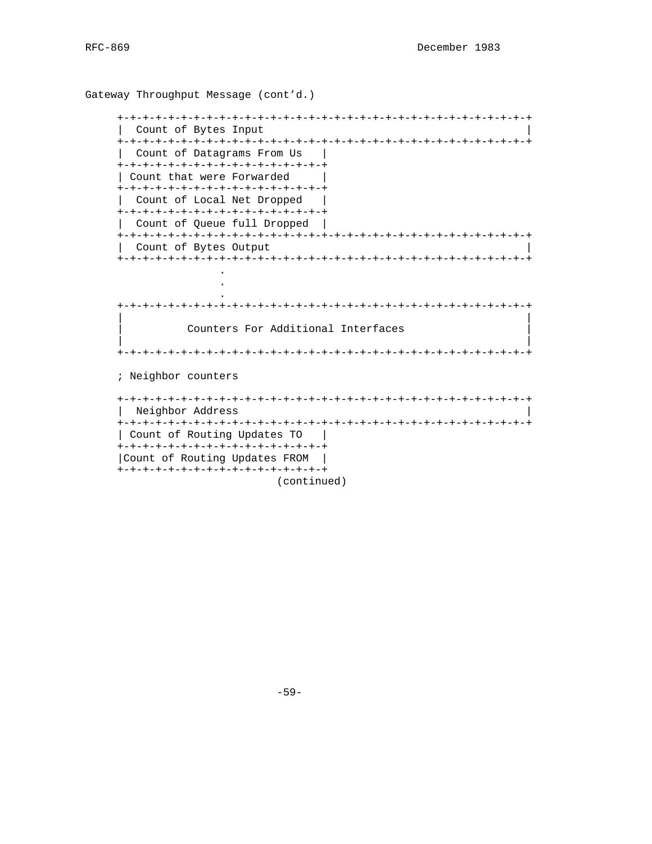```
Gateway Throughput Message (cont'd.)
  | Count of Bytes Input
  | Count of Datagrams From Us |
  +-+-+-+-+-+-+-+-+-+-+-+-+-+-+-+-+
  | Count that were Forwarded
  +-+-+-+-+-+-+-+-+-+-+-+-+-+-+-+-+
   Count of Local Net Dropped
  +-+-+-+-+-+-+-+-+-+-+-+-+-+-+-+-+
   Count of Queue full Dropped |
  Count of Bytes Output
  Counters For Additional Interfaces
  ; Neighbor counters
  | Neighbor Address
  | Count of Routing Updates TO |
  +-+-+-+-+-+-+-+-+-+-+-+-+-+-+-+-+
  | Count of Routing Updates FROM |
  +-+-+-+-+-+-+-+-+-+-+-+-+-+-+-+-+
```
(continued)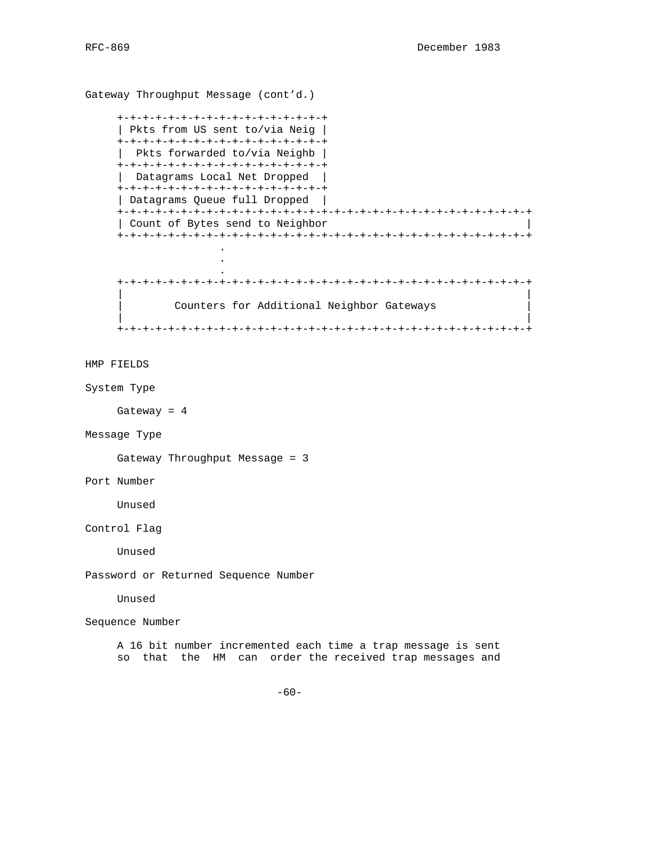```
Gateway Throughput Message (cont'd.)
     +-+-+-+-+-+-+-+-+-+-+-+-+-+-+-+-+
     | Pkts from US sent to/via Neig |
     +-+-+-+-+-+-+-+-+-+-+-+-+-+-+-+-+
      | Pkts forwarded to/via Neighb |
     +-+-+-+-+-+-+-+-+-+-+-+-+-+-+-+-+
     | Datagrams Local Net Dropped |
    +-+-+-+-+-+-+-+-+-+-+-+-+-+-+-+-+
     | Datagrams Queue full Dropped |
     +-+-+-+-+-+-+-+-+-+-+-+-+-+-+-+-+-+-+-+-+-+-+-+-+-+-+-+-+-+-+-+-+
     | Count of Bytes send to Neighbor |
     +-+-+-+-+-+-+-+-+-+-+-+-+-+-+-+-+-+-+-+-+-+-+-+-+-+-+-+-+-+-+-+-+
 .
 .
 .
     +-+-+-+-+-+-+-+-+-+-+-+-+-+-+-+-+-+-+-+-+-+-+-+-+-+-+-+-+-+-+-+-+
 | |
           Counters for Additional Neighbor Gateways
 | |
     +-+-+-+-+-+-+-+-+-+-+-+-+-+-+-+-+-+-+-+-+-+-+-+-+-+-+-+-+-+-+-+-+
```
# HMP FIELDS

System Type

Gateway = 4

Message Type

Gateway Throughput Message = 3

Port Number

Unused

Control Flag

Unused

Password or Returned Sequence Number

Unused

Sequence Number

 A 16 bit number incremented each time a trap message is sent so that the HM can order the received trap messages and

 $-60-$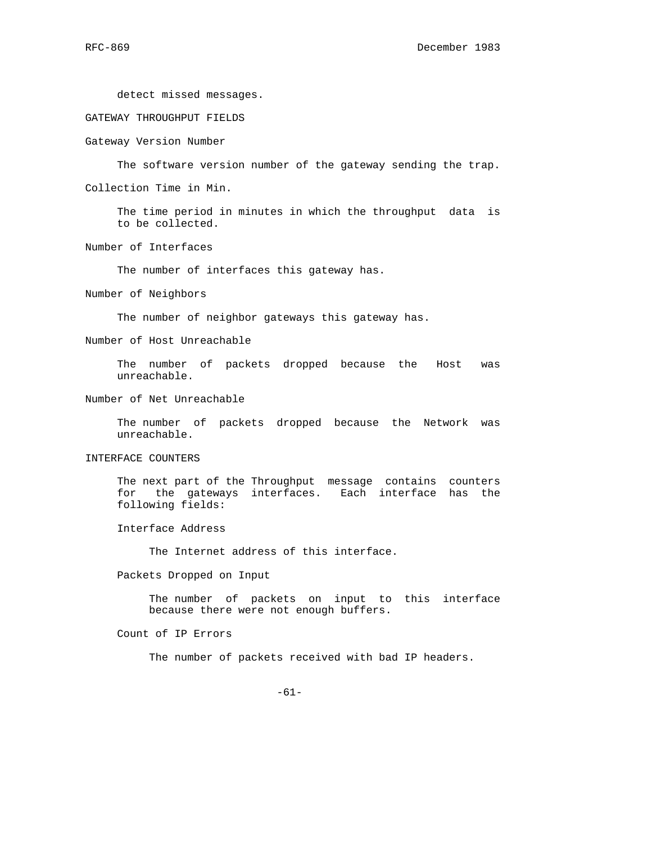detect missed messages.

GATEWAY THROUGHPUT FIELDS

Gateway Version Number

The software version number of the gateway sending the trap.

Collection Time in Min.

 The time period in minutes in which the throughput data is to be collected.

Number of Interfaces

The number of interfaces this gateway has.

Number of Neighbors

The number of neighbor gateways this gateway has.

Number of Host Unreachable

 The number of packets dropped because the Host was unreachable.

Number of Net Unreachable

 The number of packets dropped because the Network was unreachable.

INTERFACE COUNTERS

 The next part of the Throughput message contains counters for the gateways interfaces. Each interface has the following fields:

Interface Address

The Internet address of this interface.

Packets Dropped on Input

 The number of packets on input to this interface because there were not enough buffers.

Count of IP Errors

The number of packets received with bad IP headers.

-61-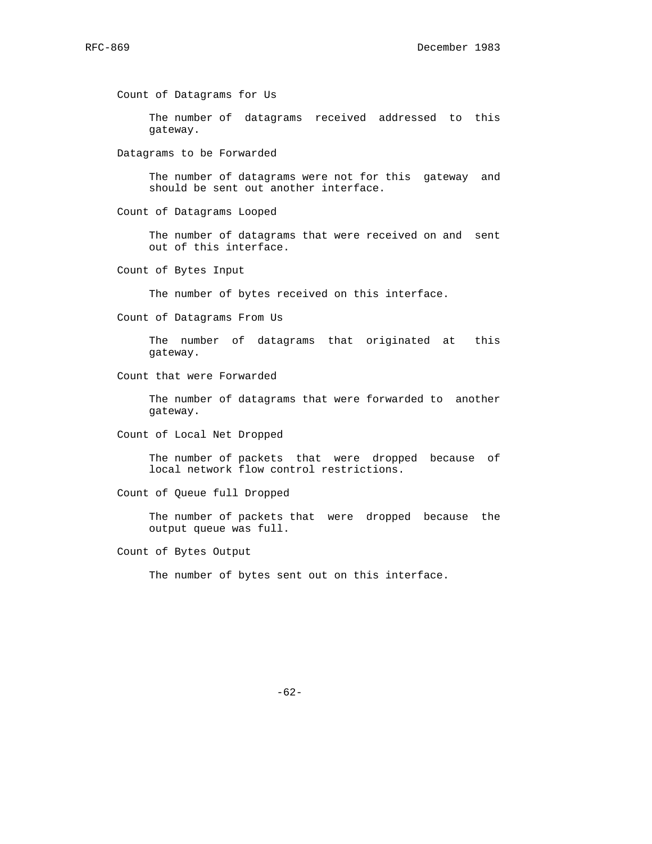Count of Datagrams for Us

 The number of datagrams received addressed to this gateway.

Datagrams to be Forwarded

 The number of datagrams were not for this gateway and should be sent out another interface.

Count of Datagrams Looped

 The number of datagrams that were received on and sent out of this interface.

Count of Bytes Input

The number of bytes received on this interface.

Count of Datagrams From Us

 The number of datagrams that originated at this gateway.

Count that were Forwarded

 The number of datagrams that were forwarded to another gateway.

Count of Local Net Dropped

 The number of packets that were dropped because of local network flow control restrictions.

Count of Queue full Dropped

 The number of packets that were dropped because the output queue was full.

Count of Bytes Output

The number of bytes sent out on this interface.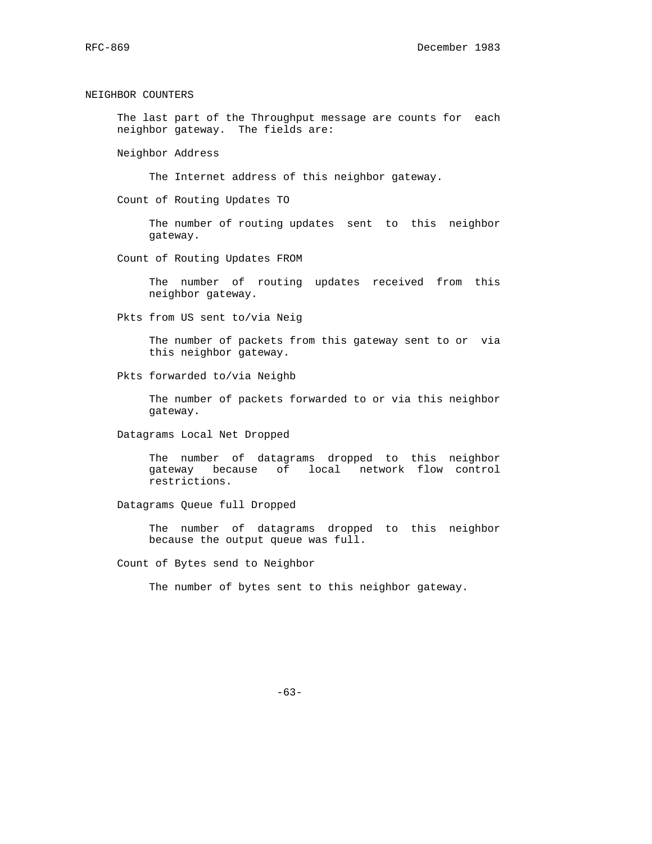NEIGHBOR COUNTERS

 The last part of the Throughput message are counts for each neighbor gateway. The fields are:

Neighbor Address

The Internet address of this neighbor gateway.

Count of Routing Updates TO

 The number of routing updates sent to this neighbor gateway.

Count of Routing Updates FROM

 The number of routing updates received from this neighbor gateway.

Pkts from US sent to/via Neig

 The number of packets from this gateway sent to or via this neighbor gateway.

Pkts forwarded to/via Neighb

 The number of packets forwarded to or via this neighbor gateway.

Datagrams Local Net Dropped

 The number of datagrams dropped to this neighbor gateway because of local network flow control restrictions.

Datagrams Queue full Dropped

 The number of datagrams dropped to this neighbor because the output queue was full.

Count of Bytes send to Neighbor

The number of bytes sent to this neighbor gateway.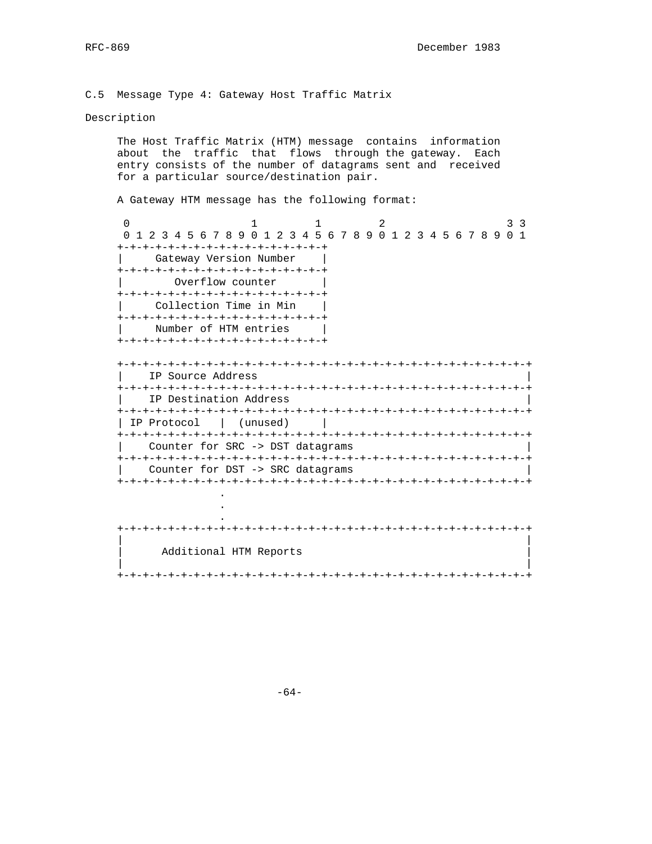## C.5 Message Type 4: Gateway Host Traffic Matrix

## Description

.

 The Host Traffic Matrix (HTM) message contains information about the traffic that flows through the gateway. Each entry consists of the number of datagrams sent and received for a particular source/destination pair.

A Gateway HTM message has the following format:

0 1 1 2 3 3 3 0 1 2 3 4 5 6 7 8 9 0 1 2 3 4 5 6 7 8 9 0 1 2 3 4 5 6 7 8 9 0 1 +-+-+-+-+-+-+-+-+-+-+-+-+-+-+-+-+ Gateway Version Number +-+-+-+-+-+-+-+-+-+-+-+-+-+-+-+-+ Overflow counter +-+-+-+-+-+-+-+-+-+-+-+-+-+-+-+-+ Collection Time in Min +-+-+-+-+-+-+-+-+-+-+-+-+-+-+-+-+ Number of HTM entries | +-+-+-+-+-+-+-+-+-+-+-+-+-+-+-+-+ +-+-+-+-+-+-+-+-+-+-+-+-+-+-+-+-+-+-+-+-+-+-+-+-+-+-+-+-+-+-+-+-+ IP Source Address +-+-+-+-+-+-+-+-+-+-+-+-+-+-+-+-+-+-+-+-+-+-+-+-+-+-+-+-+-+-+-+-+ IP Destination Address +-+-+-+-+-+-+-+-+-+-+-+-+-+-+-+-+-+-+-+-+-+-+-+-+-+-+-+-+-+-+-+-+ | IP Protocol | (unused) | +-+-+-+-+-+-+-+-+-+-+-+-+-+-+-+-+-+-+-+-+-+-+-+-+-+-+-+-+-+-+-+-+ Counter for SRC -> DST datagrams +-+-+-+-+-+-+-+-+-+-+-+-+-+-+-+-+-+-+-+-+-+-+-+-+-+-+-+-+-+-+-+-+

Counter for DST -> SRC datagrams +-+-+-+-+-+-+-+-+-+-+-+-+-+-+-+-+-+-+-+-+-+-+-+-+-+-+-+-+-+-+-+-+

| $\overline{\phantom{a}}$ |  |
|--------------------------|--|
|                          |  |
| Additional HTM Reports   |  |
|                          |  |

-64-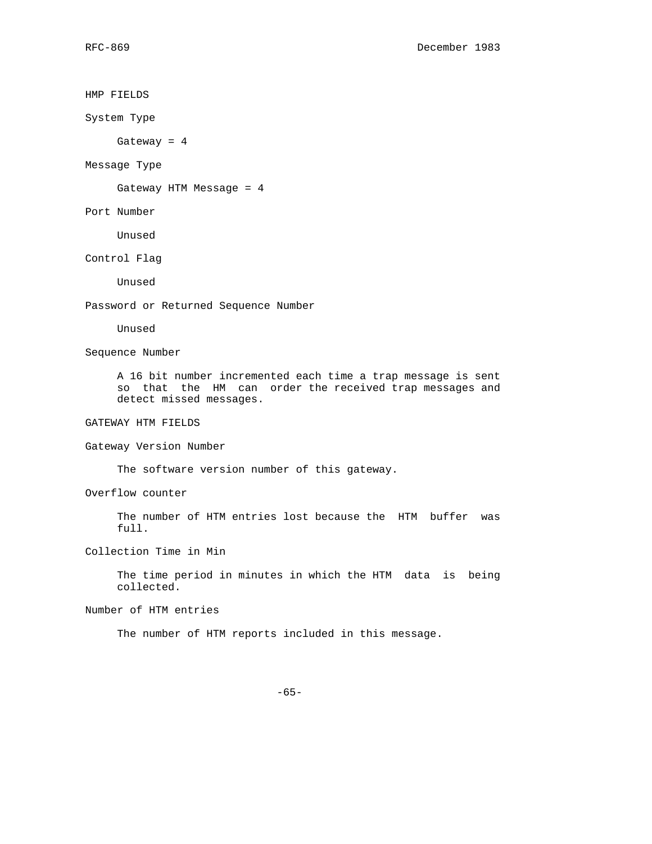HMP FIELDS System Type Gateway = 4 Message Type Gateway HTM Message = 4 Port Number Unused Control Flag Unused Password or Returned Sequence Number Unused Sequence Number A 16 bit number incremented each time a trap message is sent so that the HM can order the received trap messages and detect missed messages. GATEWAY HTM FIELDS Gateway Version Number The software version number of this gateway. Overflow counter The number of HTM entries lost because the HTM buffer was full. Collection Time in Min The time period in minutes in which the HTM data is being collected. Number of HTM entries The number of HTM reports included in this message. -65-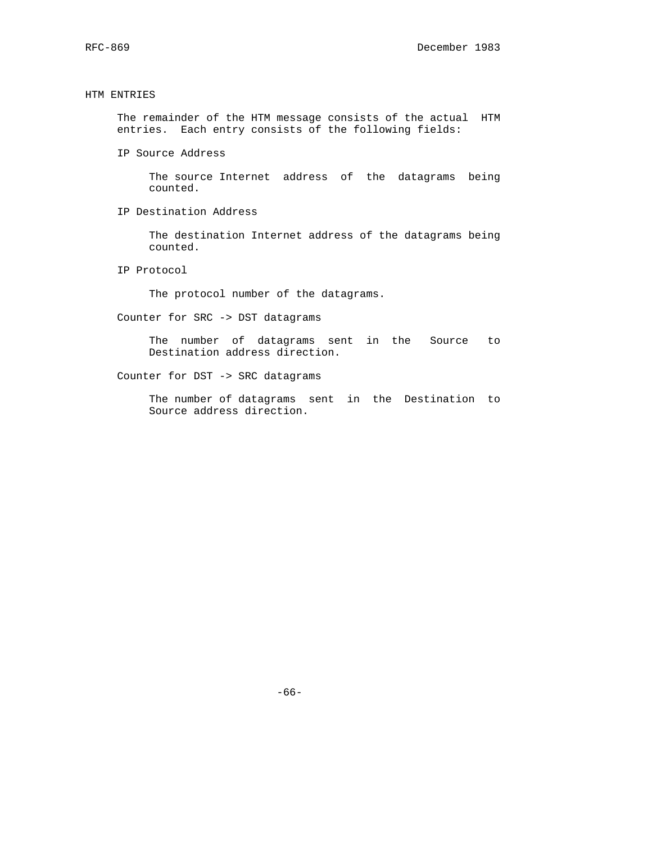## HTM ENTRIES

 The remainder of the HTM message consists of the actual HTM entries. Each entry consists of the following fields:

IP Source Address

 The source Internet address of the datagrams being counted.

IP Destination Address

 The destination Internet address of the datagrams being counted.

IP Protocol

The protocol number of the datagrams.

Counter for SRC -> DST datagrams

 The number of datagrams sent in the Source to Destination address direction.

Counter for DST -> SRC datagrams

 The number of datagrams sent in the Destination to Source address direction.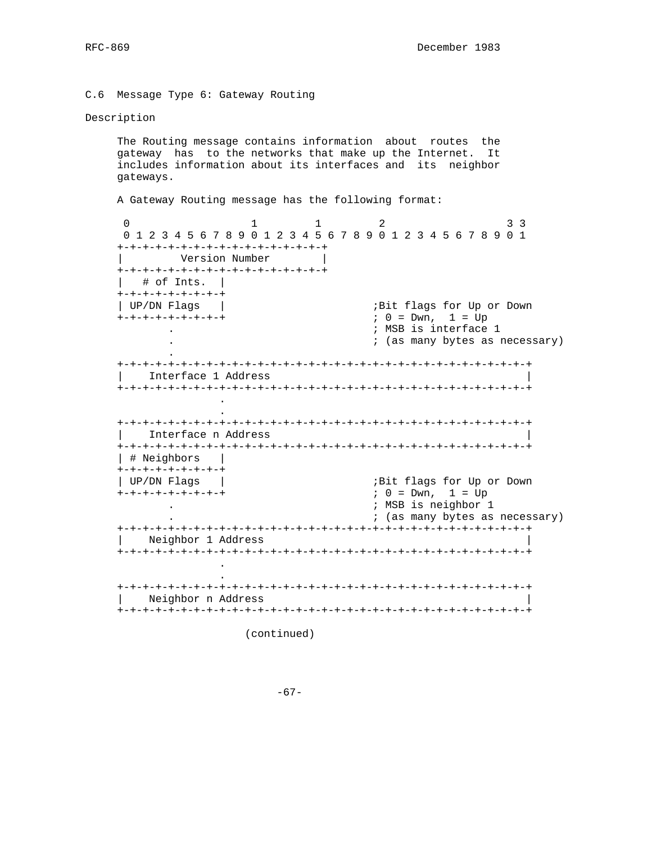C.6 Message Type 6: Gateway Routing

#### Description

 The Routing message contains information about routes the gateway has to the networks that make up the Internet. It includes information about its interfaces and its neighbor gateways.

A Gateway Routing message has the following format:

0 1 1 2 3 3 3 0 1 2 3 4 5 6 7 8 9 0 1 2 3 4 5 6 7 8 9 0 1 2 3 4 5 6 7 8 9 0 1 +-+-+-+-+-+-+-+-+-+-+-+-+-+-+-+-+ | Version Number | +-+-+-+-+-+-+-+-+-+-+-+-+-+-+-+-+ | # of Ints. | +-+-+-+-+-+-+-+-+ | UP/DN Flags | ;Bit flags for Up or Down +-+-+-+-+-+-+-+-+ ; 0 = Dwn, 1 = Up . ; MSB is interface 1 . ; (as many bytes as necessary) . +-+-+-+-+-+-+-+-+-+-+-+-+-+-+-+-+-+-+-+-+-+-+-+-+-+-+-+-+-+-+-+-+ | Interface 1 Address | +-+-+-+-+-+-+-+-+-+-+-+-+-+-+-+-+-+-+-+-+-+-+-+-+-+-+-+-+-+-+-+-+ . . +-+-+-+-+-+-+-+-+-+-+-+-+-+-+-+-+-+-+-+-+-+-+-+-+-+-+-+-+-+-+-+-+ | Interface n Address | +-+-+-+-+-+-+-+-+-+-+-+-+-+-+-+-+-+-+-+-+-+-+-+-+-+-+-+-+-+-+-+-+ | # Neighbors | +-+-+-+-+-+-+-+-+ | UP/DN Flags | ;Bit flags for Up or Down +-+-+-+-+-+-+-+-+ ; 0 = Dwn, 1 = Up . ; MSB is neighbor 1 . ; (as many bytes as necessary) +-+-+-+-+-+-+-+-+-+-+-+-+-+-+-+-+-+-+-+-+-+-+-+-+-+-+-+-+-+-+-+-+ | Neighbor 1 Address | +-+-+-+-+-+-+-+-+-+-+-+-+-+-+-+-+-+-+-+-+-+-+-+-+-+-+-+-+-+-+-+-+ . . +-+-+-+-+-+-+-+-+-+-+-+-+-+-+-+-+-+-+-+-+-+-+-+-+-+-+-+-+-+-+-+-+ | Neighbor n Address | +-+-+-+-+-+-+-+-+-+-+-+-+-+-+-+-+-+-+-+-+-+-+-+-+-+-+-+-+-+-+-+-+

(continued)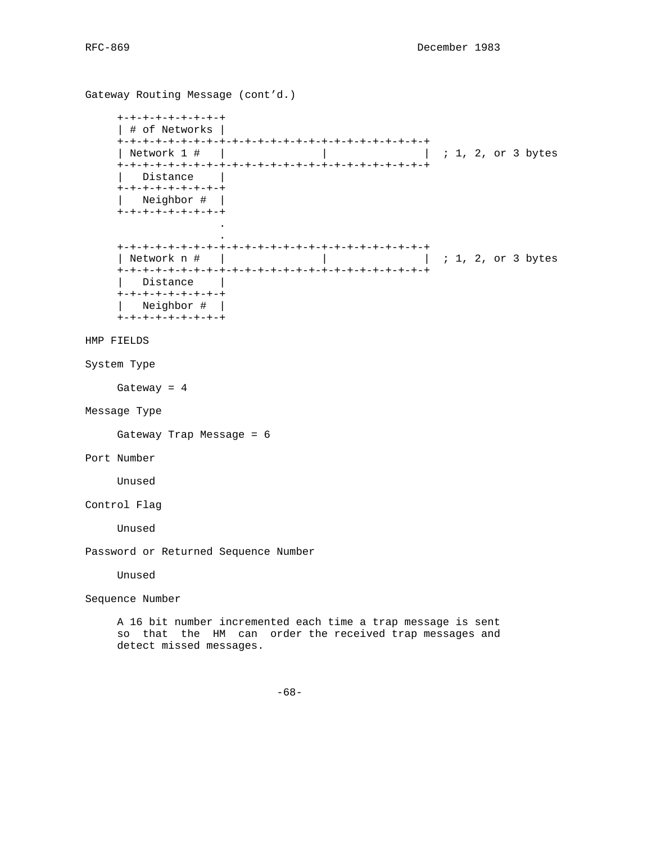Gateway Routing Message (cont'd.) +-+-+-+-+-+-+-+-+ | # of Networks | +-+-+-+-+-+-+-+-+-+-+-+-+-+-+-+-+-+-+-+-+-+-+-+-+ | 1, 2, or 3 bytes +-+-+-+-+-+-+-+-+-+-+-+-+-+-+-+-+-+-+-+-+-+-+-+-+ | Distance | +-+-+-+-+-+-+-+-+ | Neighbor # | +-+-+-+-+-+-+-+-+ . . +-+-+-+-+-+-+-+-+-+-+-+-+-+-+-+-+-+-+-+-+-+-+-+-+ | Network n # | | | ; 1, 2, or 3 bytes +-+-+-+-+-+-+-+-+-+-+-+-+-+-+-+-+-+-+-+-+-+-+-+-+ | Distance | +-+-+-+-+-+-+-+-+ | Neighbor # | +-+-+-+-+-+-+-+-+ HMP FIELDS System Type Gateway = 4 Message Type Gateway Trap Message = 6 Port Number Unused Control Flag Unused Password or Returned Sequence Number Unused Sequence Number A 16 bit number incremented each time a trap message is sent so that the HM can order the received trap messages and detect missed messages.

-68-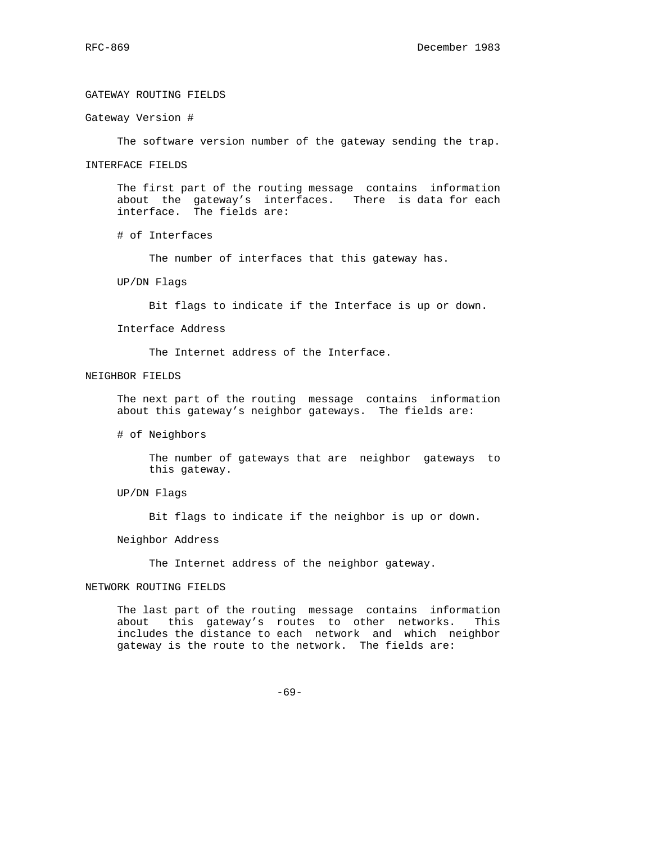# GATEWAY ROUTING FIELDS

Gateway Version #

The software version number of the gateway sending the trap.

#### INTERFACE FIELDS

 The first part of the routing message contains information about the gateway's interfaces. There is data for each interface. The fields are:

# of Interfaces

The number of interfaces that this gateway has.

UP/DN Flags

Bit flags to indicate if the Interface is up or down.

Interface Address

The Internet address of the Interface.

# NEIGHBOR FIELDS

 The next part of the routing message contains information about this gateway's neighbor gateways. The fields are:

# of Neighbors

 The number of gateways that are neighbor gateways to this gateway.

UP/DN Flags

Bit flags to indicate if the neighbor is up or down.

Neighbor Address

The Internet address of the neighbor gateway.

## NETWORK ROUTING FIELDS

 The last part of the routing message contains information about this gateway's routes to other networks. This includes the distance to each network and which neighbor gateway is the route to the network. The fields are:

-69-